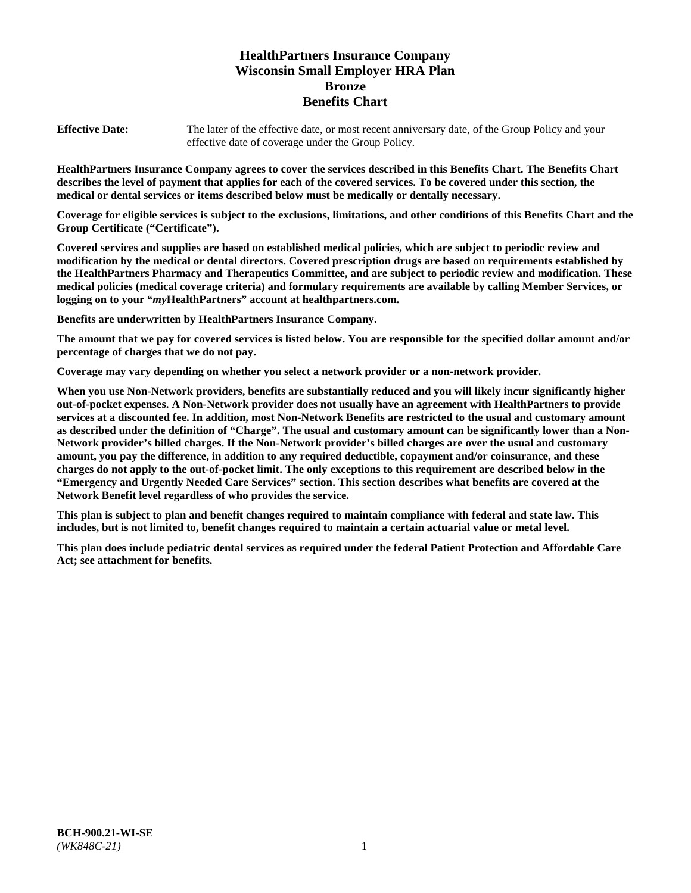# **HealthPartners Insurance Company Wisconsin Small Employer HRA Plan Bronze Benefits Chart**

**Effective Date:** The later of the effective date, or most recent anniversary date, of the Group Policy and your effective date of coverage under the Group Policy.

**HealthPartners Insurance Company agrees to cover the services described in this Benefits Chart. The Benefits Chart describes the level of payment that applies for each of the covered services. To be covered under this section, the medical or dental services or items described below must be medically or dentally necessary.**

**Coverage for eligible services is subject to the exclusions, limitations, and other conditions of this Benefits Chart and the Group Certificate ("Certificate").**

**Covered services and supplies are based on established medical policies, which are subject to periodic review and modification by the medical or dental directors. Covered prescription drugs are based on requirements established by the HealthPartners Pharmacy and Therapeutics Committee, and are subject to periodic review and modification. These medical policies (medical coverage criteria) and formulary requirements are available by calling Member Services, or logging on to your "***my***HealthPartners" account at [healthpartners.com.](https://www.healthpartners.com/hp/index.html)**

**Benefits are underwritten by HealthPartners Insurance Company.**

**The amount that we pay for covered services is listed below. You are responsible for the specified dollar amount and/or percentage of charges that we do not pay.**

**Coverage may vary depending on whether you select a network provider or a non-network provider.**

**When you use Non-Network providers, benefits are substantially reduced and you will likely incur significantly higher out-of-pocket expenses. A Non-Network provider does not usually have an agreement with HealthPartners to provide services at a discounted fee. In addition, most Non-Network Benefits are restricted to the usual and customary amount as described under the definition of "Charge". The usual and customary amount can be significantly lower than a Non-Network provider's billed charges. If the Non-Network provider's billed charges are over the usual and customary amount, you pay the difference, in addition to any required deductible, copayment and/or coinsurance, and these charges do not apply to the out-of-pocket limit. The only exceptions to this requirement are described below in the "Emergency and Urgently Needed Care Services" section. This section describes what benefits are covered at the Network Benefit level regardless of who provides the service.**

**This plan is subject to plan and benefit changes required to maintain compliance with federal and state law. This includes, but is not limited to, benefit changes required to maintain a certain actuarial value or metal level.**

**This plan does include pediatric dental services as required under the federal Patient Protection and Affordable Care Act; see attachment for benefits.**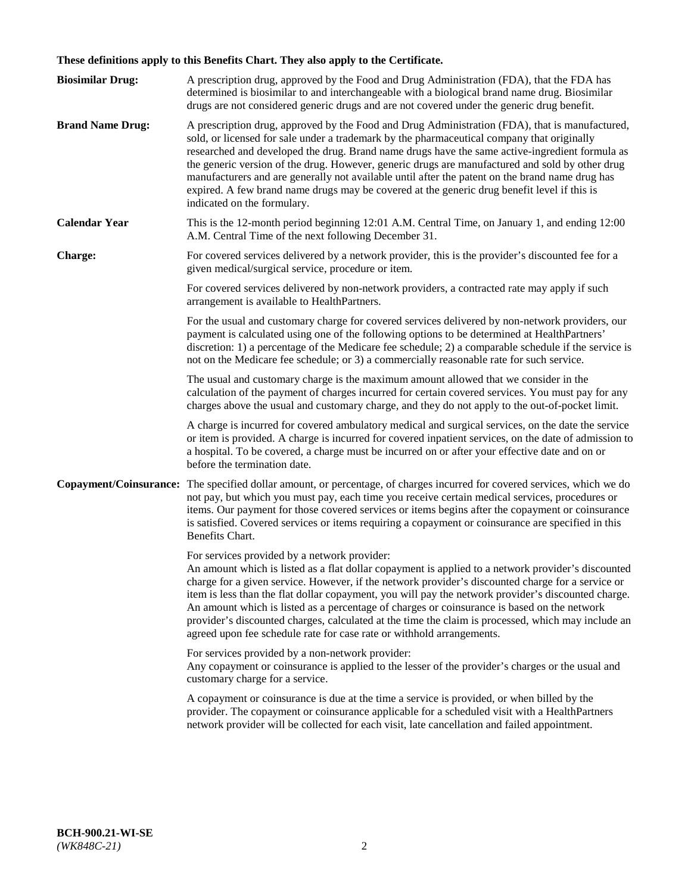# **These definitions apply to this Benefits Chart. They also apply to the Certificate.**

| <b>Biosimilar Drug:</b> | A prescription drug, approved by the Food and Drug Administration (FDA), that the FDA has<br>determined is biosimilar to and interchangeable with a biological brand name drug. Biosimilar<br>drugs are not considered generic drugs and are not covered under the generic drug benefit.                                                                                                                                                                                                                                                                                                                                                     |
|-------------------------|----------------------------------------------------------------------------------------------------------------------------------------------------------------------------------------------------------------------------------------------------------------------------------------------------------------------------------------------------------------------------------------------------------------------------------------------------------------------------------------------------------------------------------------------------------------------------------------------------------------------------------------------|
| <b>Brand Name Drug:</b> | A prescription drug, approved by the Food and Drug Administration (FDA), that is manufactured,<br>sold, or licensed for sale under a trademark by the pharmaceutical company that originally<br>researched and developed the drug. Brand name drugs have the same active-ingredient formula as<br>the generic version of the drug. However, generic drugs are manufactured and sold by other drug<br>manufacturers and are generally not available until after the patent on the brand name drug has<br>expired. A few brand name drugs may be covered at the generic drug benefit level if this is<br>indicated on the formulary.           |
| <b>Calendar Year</b>    | This is the 12-month period beginning 12:01 A.M. Central Time, on January 1, and ending 12:00<br>A.M. Central Time of the next following December 31.                                                                                                                                                                                                                                                                                                                                                                                                                                                                                        |
| <b>Charge:</b>          | For covered services delivered by a network provider, this is the provider's discounted fee for a<br>given medical/surgical service, procedure or item.                                                                                                                                                                                                                                                                                                                                                                                                                                                                                      |
|                         | For covered services delivered by non-network providers, a contracted rate may apply if such<br>arrangement is available to HealthPartners.                                                                                                                                                                                                                                                                                                                                                                                                                                                                                                  |
|                         | For the usual and customary charge for covered services delivered by non-network providers, our<br>payment is calculated using one of the following options to be determined at HealthPartners'<br>discretion: 1) a percentage of the Medicare fee schedule; 2) a comparable schedule if the service is<br>not on the Medicare fee schedule; or 3) a commercially reasonable rate for such service.                                                                                                                                                                                                                                          |
|                         | The usual and customary charge is the maximum amount allowed that we consider in the<br>calculation of the payment of charges incurred for certain covered services. You must pay for any<br>charges above the usual and customary charge, and they do not apply to the out-of-pocket limit.                                                                                                                                                                                                                                                                                                                                                 |
|                         | A charge is incurred for covered ambulatory medical and surgical services, on the date the service<br>or item is provided. A charge is incurred for covered inpatient services, on the date of admission to<br>a hospital. To be covered, a charge must be incurred on or after your effective date and on or<br>before the termination date.                                                                                                                                                                                                                                                                                                |
| Copayment/Coinsurance:  | The specified dollar amount, or percentage, of charges incurred for covered services, which we do<br>not pay, but which you must pay, each time you receive certain medical services, procedures or<br>items. Our payment for those covered services or items begins after the copayment or coinsurance<br>is satisfied. Covered services or items requiring a copayment or coinsurance are specified in this<br>Benefits Chart.                                                                                                                                                                                                             |
|                         | For services provided by a network provider:<br>An amount which is listed as a flat dollar copayment is applied to a network provider's discounted<br>charge for a given service. However, if the network provider's discounted charge for a service or<br>item is less than the flat dollar copayment, you will pay the network provider's discounted charge.<br>An amount which is listed as a percentage of charges or coinsurance is based on the network<br>provider's discounted charges, calculated at the time the claim is processed, which may include an<br>agreed upon fee schedule rate for case rate or withhold arrangements. |
|                         | For services provided by a non-network provider:<br>Any copayment or coinsurance is applied to the lesser of the provider's charges or the usual and<br>customary charge for a service.                                                                                                                                                                                                                                                                                                                                                                                                                                                      |
|                         | A copayment or coinsurance is due at the time a service is provided, or when billed by the<br>provider. The copayment or coinsurance applicable for a scheduled visit with a HealthPartners<br>network provider will be collected for each visit, late cancellation and failed appointment.                                                                                                                                                                                                                                                                                                                                                  |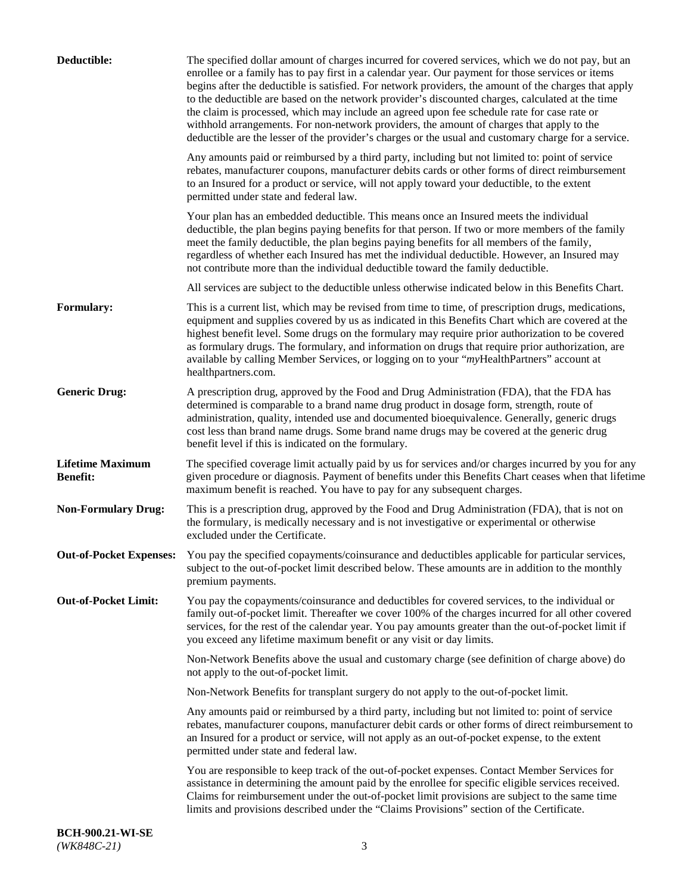| Deductible:                                | The specified dollar amount of charges incurred for covered services, which we do not pay, but an<br>enrollee or a family has to pay first in a calendar year. Our payment for those services or items<br>begins after the deductible is satisfied. For network providers, the amount of the charges that apply<br>to the deductible are based on the network provider's discounted charges, calculated at the time<br>the claim is processed, which may include an agreed upon fee schedule rate for case rate or<br>withhold arrangements. For non-network providers, the amount of charges that apply to the<br>deductible are the lesser of the provider's charges or the usual and customary charge for a service. |
|--------------------------------------------|-------------------------------------------------------------------------------------------------------------------------------------------------------------------------------------------------------------------------------------------------------------------------------------------------------------------------------------------------------------------------------------------------------------------------------------------------------------------------------------------------------------------------------------------------------------------------------------------------------------------------------------------------------------------------------------------------------------------------|
|                                            | Any amounts paid or reimbursed by a third party, including but not limited to: point of service<br>rebates, manufacturer coupons, manufacturer debits cards or other forms of direct reimbursement<br>to an Insured for a product or service, will not apply toward your deductible, to the extent<br>permitted under state and federal law.                                                                                                                                                                                                                                                                                                                                                                            |
|                                            | Your plan has an embedded deductible. This means once an Insured meets the individual<br>deductible, the plan begins paying benefits for that person. If two or more members of the family<br>meet the family deductible, the plan begins paying benefits for all members of the family,<br>regardless of whether each Insured has met the individual deductible. However, an Insured may<br>not contribute more than the individual deductible toward the family deductible.                                                                                                                                                                                                                                           |
|                                            | All services are subject to the deductible unless otherwise indicated below in this Benefits Chart.                                                                                                                                                                                                                                                                                                                                                                                                                                                                                                                                                                                                                     |
| Formulary:                                 | This is a current list, which may be revised from time to time, of prescription drugs, medications,<br>equipment and supplies covered by us as indicated in this Benefits Chart which are covered at the<br>highest benefit level. Some drugs on the formulary may require prior authorization to be covered<br>as formulary drugs. The formulary, and information on drugs that require prior authorization, are<br>available by calling Member Services, or logging on to your "myHealthPartners" account at<br>healthpartners.com.                                                                                                                                                                                   |
| <b>Generic Drug:</b>                       | A prescription drug, approved by the Food and Drug Administration (FDA), that the FDA has<br>determined is comparable to a brand name drug product in dosage form, strength, route of<br>administration, quality, intended use and documented bioequivalence. Generally, generic drugs<br>cost less than brand name drugs. Some brand name drugs may be covered at the generic drug<br>benefit level if this is indicated on the formulary.                                                                                                                                                                                                                                                                             |
| <b>Lifetime Maximum</b><br><b>Benefit:</b> | The specified coverage limit actually paid by us for services and/or charges incurred by you for any<br>given procedure or diagnosis. Payment of benefits under this Benefits Chart ceases when that lifetime<br>maximum benefit is reached. You have to pay for any subsequent charges.                                                                                                                                                                                                                                                                                                                                                                                                                                |
| <b>Non-Formulary Drug:</b>                 | This is a prescription drug, approved by the Food and Drug Administration (FDA), that is not on<br>the formulary, is medically necessary and is not investigative or experimental or otherwise<br>excluded under the Certificate.                                                                                                                                                                                                                                                                                                                                                                                                                                                                                       |
|                                            | Out-of-Pocket Expenses: You pay the specified copayments/coinsurance and deductibles applicable for particular services,<br>subject to the out-of-pocket limit described below. These amounts are in addition to the monthly<br>premium payments.                                                                                                                                                                                                                                                                                                                                                                                                                                                                       |
| <b>Out-of-Pocket Limit:</b>                | You pay the copayments/coinsurance and deductibles for covered services, to the individual or<br>family out-of-pocket limit. Thereafter we cover 100% of the charges incurred for all other covered<br>services, for the rest of the calendar year. You pay amounts greater than the out-of-pocket limit if<br>you exceed any lifetime maximum benefit or any visit or day limits.                                                                                                                                                                                                                                                                                                                                      |
|                                            | Non-Network Benefits above the usual and customary charge (see definition of charge above) do<br>not apply to the out-of-pocket limit.                                                                                                                                                                                                                                                                                                                                                                                                                                                                                                                                                                                  |
|                                            | Non-Network Benefits for transplant surgery do not apply to the out-of-pocket limit.                                                                                                                                                                                                                                                                                                                                                                                                                                                                                                                                                                                                                                    |
|                                            | Any amounts paid or reimbursed by a third party, including but not limited to: point of service<br>rebates, manufacturer coupons, manufacturer debit cards or other forms of direct reimbursement to<br>an Insured for a product or service, will not apply as an out-of-pocket expense, to the extent<br>permitted under state and federal law.                                                                                                                                                                                                                                                                                                                                                                        |
|                                            | You are responsible to keep track of the out-of-pocket expenses. Contact Member Services for<br>assistance in determining the amount paid by the enrollee for specific eligible services received.<br>Claims for reimbursement under the out-of-pocket limit provisions are subject to the same time<br>limits and provisions described under the "Claims Provisions" section of the Certificate.                                                                                                                                                                                                                                                                                                                       |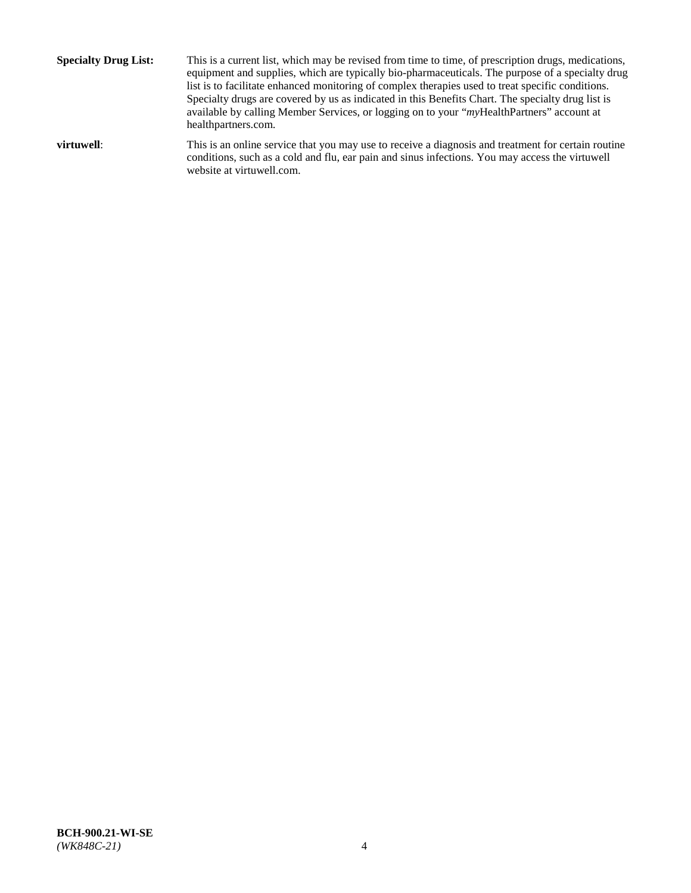**Specialty Drug List:** This is a current list, which may be revised from time to time, of prescription drugs, medications, equipment and supplies, which are typically bio-pharmaceuticals. The purpose of a specialty drug list is to facilitate enhanced monitoring of complex therapies used to treat specific conditions. Specialty drugs are covered by us as indicated in this Benefits Chart. The specialty drug list is available by calling Member Services, or logging on to your "*my*HealthPartners" account at [healthpartners.com.](http://www.healthpartners.com/) **virtuwell:** This is an online service that you may use to receive a diagnosis and treatment for certain routine conditions, such as a cold and flu, ear pain and sinus infections. You may access the virtuwell

website at [virtuwell.com.](http://www.virtuwell.com/)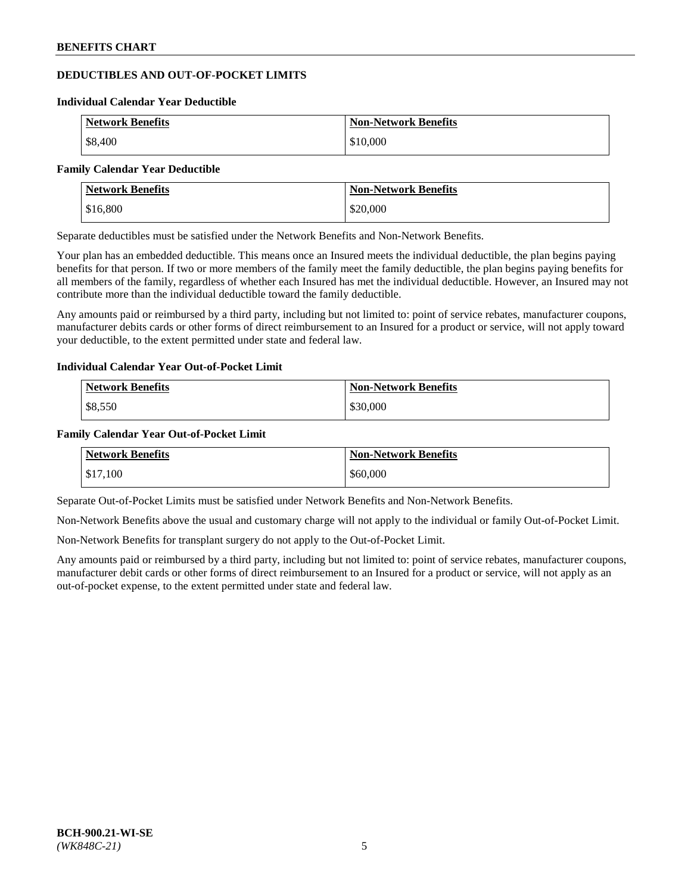## **DEDUCTIBLES AND OUT-OF-POCKET LIMITS**

#### **Individual Calendar Year Deductible**

| <b>Network Benefits</b> | <b>Non-Network Benefits</b> |
|-------------------------|-----------------------------|
| \$8,400                 | \$10,000                    |

#### **Family Calendar Year Deductible**

| <b>Network Benefits</b> | <b>Non-Network Benefits</b> |
|-------------------------|-----------------------------|
| \$16,800                | \$20,000                    |

Separate deductibles must be satisfied under the Network Benefits and Non-Network Benefits.

Your plan has an embedded deductible. This means once an Insured meets the individual deductible, the plan begins paying benefits for that person. If two or more members of the family meet the family deductible, the plan begins paying benefits for all members of the family, regardless of whether each Insured has met the individual deductible. However, an Insured may not contribute more than the individual deductible toward the family deductible.

Any amounts paid or reimbursed by a third party, including but not limited to: point of service rebates, manufacturer coupons, manufacturer debits cards or other forms of direct reimbursement to an Insured for a product or service, will not apply toward your deductible, to the extent permitted under state and federal law.

#### **Individual Calendar Year Out-of-Pocket Limit**

| <b>Network Benefits</b> | <b>Non-Network Benefits</b> |
|-------------------------|-----------------------------|
| \$8,550                 | \$30,000                    |

#### **Family Calendar Year Out-of-Pocket Limit**

| <b>Network Benefits</b> | <b>Non-Network Benefits</b> |
|-------------------------|-----------------------------|
| \$17,100                | \$60,000                    |

Separate Out-of-Pocket Limits must be satisfied under Network Benefits and Non-Network Benefits.

Non-Network Benefits above the usual and customary charge will not apply to the individual or family Out-of-Pocket Limit.

Non-Network Benefits for transplant surgery do not apply to the Out-of-Pocket Limit.

Any amounts paid or reimbursed by a third party, including but not limited to: point of service rebates, manufacturer coupons, manufacturer debit cards or other forms of direct reimbursement to an Insured for a product or service, will not apply as an out-of-pocket expense, to the extent permitted under state and federal law.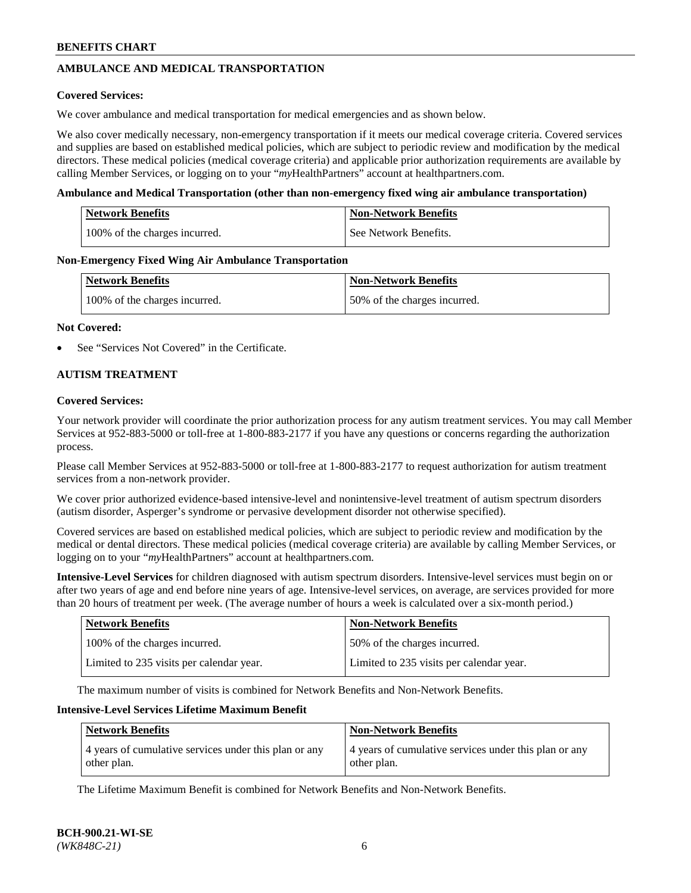## **AMBULANCE AND MEDICAL TRANSPORTATION**

### **Covered Services:**

We cover ambulance and medical transportation for medical emergencies and as shown below.

We also cover medically necessary, non-emergency transportation if it meets our medical coverage criteria. Covered services and supplies are based on established medical policies, which are subject to periodic review and modification by the medical directors. These medical policies (medical coverage criteria) and applicable prior authorization requirements are available by calling Member Services, or logging on to your "*my*HealthPartners" account a[t healthpartners.com.](https://www.healthpartners.com/hp/index.html)

### **Ambulance and Medical Transportation (other than non-emergency fixed wing air ambulance transportation)**

| <b>Network Benefits</b>       | <b>Non-Network Benefits</b> |
|-------------------------------|-----------------------------|
| 100% of the charges incurred. | See Network Benefits.       |

### **Non-Emergency Fixed Wing Air Ambulance Transportation**

| <b>Network Benefits</b>       | <b>Non-Network Benefits</b>  |
|-------------------------------|------------------------------|
| 100% of the charges incurred. | 50% of the charges incurred. |

### **Not Covered:**

See "Services Not Covered" in the Certificate.

## **AUTISM TREATMENT**

### **Covered Services:**

Your network provider will coordinate the prior authorization process for any autism treatment services. You may call Member Services at 952-883-5000 or toll-free at 1-800-883-2177 if you have any questions or concerns regarding the authorization process.

Please call Member Services at 952-883-5000 or toll-free at 1-800-883-2177 to request authorization for autism treatment services from a non-network provider.

We cover prior authorized evidence-based intensive-level and nonintensive-level treatment of autism spectrum disorders (autism disorder, Asperger's syndrome or pervasive development disorder not otherwise specified).

Covered services are based on established medical policies, which are subject to periodic review and modification by the medical or dental directors. These medical policies (medical coverage criteria) are available by calling Member Services, or logging on to your "*my*HealthPartners" account at [healthpartners.com.](https://www.healthpartners.com/hp/index.html)

**Intensive-Level Services** for children diagnosed with autism spectrum disorders. Intensive-level services must begin on or after two years of age and end before nine years of age. Intensive-level services, on average, are services provided for more than 20 hours of treatment per week. (The average number of hours a week is calculated over a six-month period.)

| <b>Network Benefits</b>                  | <b>Non-Network Benefits</b>              |
|------------------------------------------|------------------------------------------|
| 100% of the charges incurred.            | 50% of the charges incurred.             |
| Limited to 235 visits per calendar year. | Limited to 235 visits per calendar year. |

The maximum number of visits is combined for Network Benefits and Non-Network Benefits.

### **Intensive-Level Services Lifetime Maximum Benefit**

| <b>Network Benefits</b>                                              | <b>Non-Network Benefits</b>                                          |
|----------------------------------------------------------------------|----------------------------------------------------------------------|
| 4 years of cumulative services under this plan or any<br>other plan. | 4 years of cumulative services under this plan or any<br>other plan. |

The Lifetime Maximum Benefit is combined for Network Benefits and Non-Network Benefits.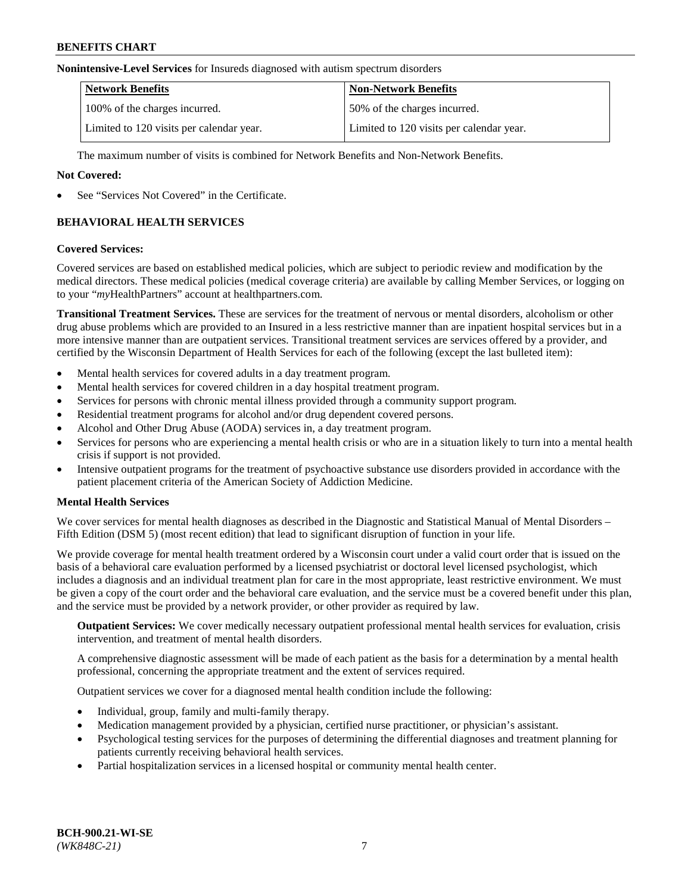#### **Nonintensive-Level Services** for Insureds diagnosed with autism spectrum disorders

| <b>Network Benefits</b>                  | <b>Non-Network Benefits</b>              |
|------------------------------------------|------------------------------------------|
| 100% of the charges incurred.            | 50% of the charges incurred.             |
| Limited to 120 visits per calendar year. | Limited to 120 visits per calendar year. |

The maximum number of visits is combined for Network Benefits and Non-Network Benefits.

### **Not Covered:**

See "Services Not Covered" in the Certificate.

## **BEHAVIORAL HEALTH SERVICES**

### **Covered Services:**

Covered services are based on established medical policies, which are subject to periodic review and modification by the medical directors. These medical policies (medical coverage criteria) are available by calling Member Services, or logging on to your "*my*HealthPartners" account at [healthpartners.com.](https://www.healthpartners.com/hp/index.html)

**Transitional Treatment Services.** These are services for the treatment of nervous or mental disorders, alcoholism or other drug abuse problems which are provided to an Insured in a less restrictive manner than are inpatient hospital services but in a more intensive manner than are outpatient services. Transitional treatment services are services offered by a provider, and certified by the Wisconsin Department of Health Services for each of the following (except the last bulleted item):

- Mental health services for covered adults in a day treatment program.
- Mental health services for covered children in a day hospital treatment program.
- Services for persons with chronic mental illness provided through a community support program.
- Residential treatment programs for alcohol and/or drug dependent covered persons.
- Alcohol and Other Drug Abuse (AODA) services in, a day treatment program.
- Services for persons who are experiencing a mental health crisis or who are in a situation likely to turn into a mental health crisis if support is not provided.
- Intensive outpatient programs for the treatment of psychoactive substance use disorders provided in accordance with the patient placement criteria of the American Society of Addiction Medicine.

## **Mental Health Services**

We cover services for mental health diagnoses as described in the Diagnostic and Statistical Manual of Mental Disorders – Fifth Edition (DSM 5) (most recent edition) that lead to significant disruption of function in your life.

We provide coverage for mental health treatment ordered by a Wisconsin court under a valid court order that is issued on the basis of a behavioral care evaluation performed by a licensed psychiatrist or doctoral level licensed psychologist, which includes a diagnosis and an individual treatment plan for care in the most appropriate, least restrictive environment. We must be given a copy of the court order and the behavioral care evaluation, and the service must be a covered benefit under this plan, and the service must be provided by a network provider, or other provider as required by law.

**Outpatient Services:** We cover medically necessary outpatient professional mental health services for evaluation, crisis intervention, and treatment of mental health disorders.

A comprehensive diagnostic assessment will be made of each patient as the basis for a determination by a mental health professional, concerning the appropriate treatment and the extent of services required.

Outpatient services we cover for a diagnosed mental health condition include the following:

- Individual, group, family and multi-family therapy.
- Medication management provided by a physician, certified nurse practitioner, or physician's assistant.
- Psychological testing services for the purposes of determining the differential diagnoses and treatment planning for patients currently receiving behavioral health services.
- Partial hospitalization services in a licensed hospital or community mental health center.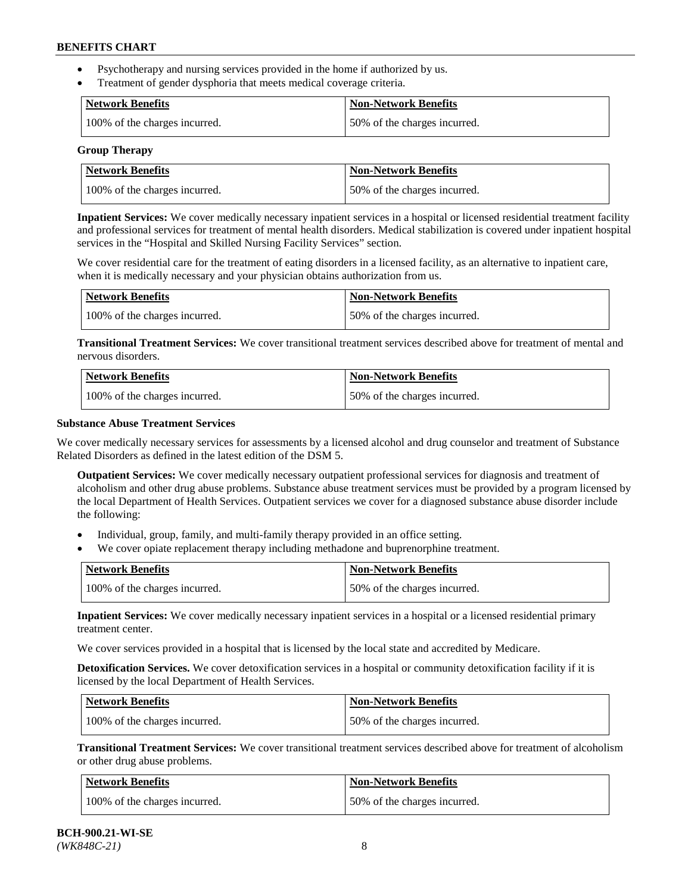- Psychotherapy and nursing services provided in the home if authorized by us.
- Treatment of gender dysphoria that meets medical coverage criteria.

| <b>Network Benefits</b>       | Non-Network Benefits         |
|-------------------------------|------------------------------|
| 100% of the charges incurred. | 50% of the charges incurred. |

#### **Group Therapy**

| Network Benefits              | <b>Non-Network Benefits</b>  |
|-------------------------------|------------------------------|
| 100% of the charges incurred. | 50% of the charges incurred. |

**Inpatient Services:** We cover medically necessary inpatient services in a hospital or licensed residential treatment facility and professional services for treatment of mental health disorders. Medical stabilization is covered under inpatient hospital services in the "Hospital and Skilled Nursing Facility Services" section.

We cover residential care for the treatment of eating disorders in a licensed facility, as an alternative to inpatient care, when it is medically necessary and your physician obtains authorization from us.

| <b>Network Benefits</b>       | <b>Non-Network Benefits</b>  |
|-------------------------------|------------------------------|
| 100% of the charges incurred. | 50% of the charges incurred. |

**Transitional Treatment Services:** We cover transitional treatment services described above for treatment of mental and nervous disorders.

| <b>Network Benefits</b>       | <b>Non-Network Benefits</b>  |
|-------------------------------|------------------------------|
| 100% of the charges incurred. | 50% of the charges incurred. |

### **Substance Abuse Treatment Services**

We cover medically necessary services for assessments by a licensed alcohol and drug counselor and treatment of Substance Related Disorders as defined in the latest edition of the DSM 5.

**Outpatient Services:** We cover medically necessary outpatient professional services for diagnosis and treatment of alcoholism and other drug abuse problems. Substance abuse treatment services must be provided by a program licensed by the local Department of Health Services. Outpatient services we cover for a diagnosed substance abuse disorder include the following:

- Individual, group, family, and multi-family therapy provided in an office setting.
- We cover opiate replacement therapy including methadone and buprenorphine treatment.

| <b>Network Benefits</b>       | <b>Non-Network Benefits</b>  |
|-------------------------------|------------------------------|
| 100% of the charges incurred. | 50% of the charges incurred. |

**Inpatient Services:** We cover medically necessary inpatient services in a hospital or a licensed residential primary treatment center.

We cover services provided in a hospital that is licensed by the local state and accredited by Medicare.

**Detoxification Services.** We cover detoxification services in a hospital or community detoxification facility if it is licensed by the local Department of Health Services.

| Network Benefits              | <b>Non-Network Benefits</b>  |
|-------------------------------|------------------------------|
| 100% of the charges incurred. | 50% of the charges incurred. |

**Transitional Treatment Services:** We cover transitional treatment services described above for treatment of alcoholism or other drug abuse problems.

| Network Benefits              | <b>Non-Network Benefits</b>  |
|-------------------------------|------------------------------|
| 100% of the charges incurred. | 50% of the charges incurred. |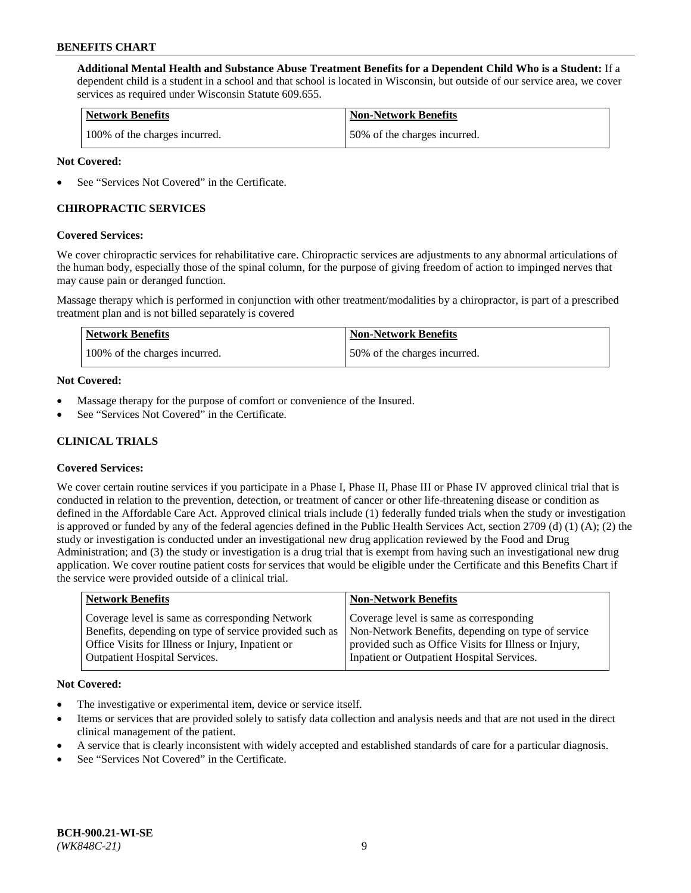**Additional Mental Health and Substance Abuse Treatment Benefits for a Dependent Child Who is a Student:** If a dependent child is a student in a school and that school is located in Wisconsin, but outside of our service area, we cover services as required under Wisconsin Statute 609.655.

| <b>Network Benefits</b>       | <b>Non-Network Benefits</b>  |
|-------------------------------|------------------------------|
| 100% of the charges incurred. | 50% of the charges incurred. |

### **Not Covered:**

See "Services Not Covered" in the Certificate.

## **CHIROPRACTIC SERVICES**

### **Covered Services:**

We cover chiropractic services for rehabilitative care. Chiropractic services are adjustments to any abnormal articulations of the human body, especially those of the spinal column, for the purpose of giving freedom of action to impinged nerves that may cause pain or deranged function.

Massage therapy which is performed in conjunction with other treatment/modalities by a chiropractor, is part of a prescribed treatment plan and is not billed separately is covered

| <b>Network Benefits</b>       | <b>Non-Network Benefits</b>  |
|-------------------------------|------------------------------|
| 100% of the charges incurred. | 50% of the charges incurred. |

### **Not Covered:**

- Massage therapy for the purpose of comfort or convenience of the Insured.
- See "Services Not Covered" in the Certificate.

## **CLINICAL TRIALS**

## **Covered Services:**

We cover certain routine services if you participate in a Phase I, Phase II, Phase III or Phase IV approved clinical trial that is conducted in relation to the prevention, detection, or treatment of cancer or other life-threatening disease or condition as defined in the Affordable Care Act. Approved clinical trials include (1) federally funded trials when the study or investigation is approved or funded by any of the federal agencies defined in the Public Health Services Act, section 2709 (d) (1) (A); (2) the study or investigation is conducted under an investigational new drug application reviewed by the Food and Drug Administration; and (3) the study or investigation is a drug trial that is exempt from having such an investigational new drug application. We cover routine patient costs for services that would be eligible under the Certificate and this Benefits Chart if the service were provided outside of a clinical trial.

| <b>Network Benefits</b>                                                                                                                                                                                 | <b>Non-Network Benefits</b>                                                                                                                                                                          |
|---------------------------------------------------------------------------------------------------------------------------------------------------------------------------------------------------------|------------------------------------------------------------------------------------------------------------------------------------------------------------------------------------------------------|
| Coverage level is same as corresponding Network<br>Benefits, depending on type of service provided such as<br>Office Visits for Illness or Injury, Inpatient or<br><b>Outpatient Hospital Services.</b> | Coverage level is same as corresponding<br>Non-Network Benefits, depending on type of service<br>provided such as Office Visits for Illness or Injury,<br>Inpatient or Outpatient Hospital Services. |
|                                                                                                                                                                                                         |                                                                                                                                                                                                      |

#### **Not Covered:**

- The investigative or experimental item, device or service itself.
- Items or services that are provided solely to satisfy data collection and analysis needs and that are not used in the direct clinical management of the patient.
- A service that is clearly inconsistent with widely accepted and established standards of care for a particular diagnosis.
- See "Services Not Covered" in the Certificate.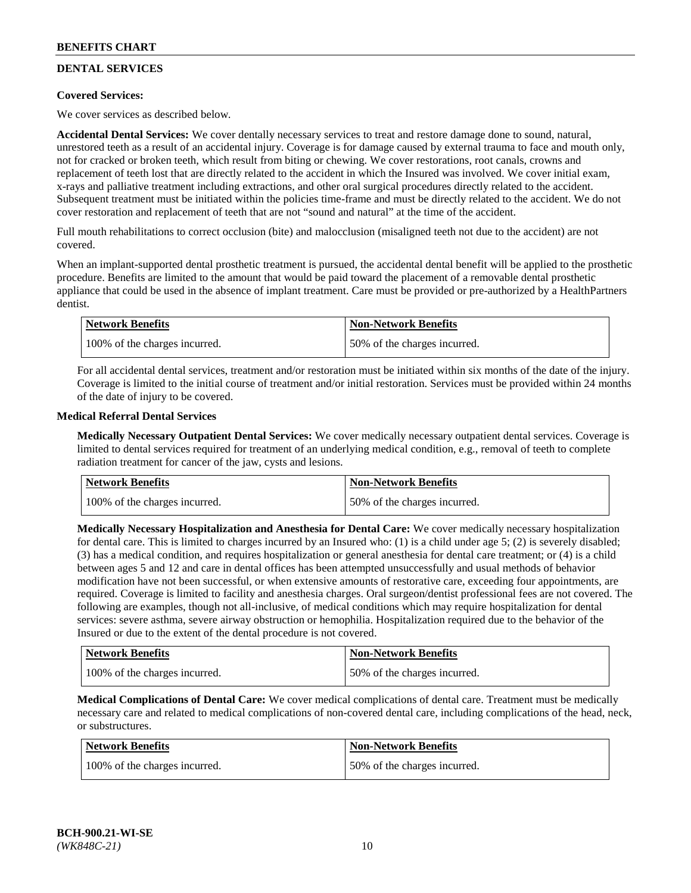## **DENTAL SERVICES**

## **Covered Services:**

We cover services as described below.

**Accidental Dental Services:** We cover dentally necessary services to treat and restore damage done to sound, natural, unrestored teeth as a result of an accidental injury. Coverage is for damage caused by external trauma to face and mouth only, not for cracked or broken teeth, which result from biting or chewing. We cover restorations, root canals, crowns and replacement of teeth lost that are directly related to the accident in which the Insured was involved. We cover initial exam, x-rays and palliative treatment including extractions, and other oral surgical procedures directly related to the accident. Subsequent treatment must be initiated within the policies time-frame and must be directly related to the accident. We do not cover restoration and replacement of teeth that are not "sound and natural" at the time of the accident.

Full mouth rehabilitations to correct occlusion (bite) and malocclusion (misaligned teeth not due to the accident) are not covered.

When an implant-supported dental prosthetic treatment is pursued, the accidental dental benefit will be applied to the prosthetic procedure. Benefits are limited to the amount that would be paid toward the placement of a removable dental prosthetic appliance that could be used in the absence of implant treatment. Care must be provided or pre-authorized by a HealthPartners dentist.

| <b>Network Benefits</b>       | <b>Non-Network Benefits</b>  |
|-------------------------------|------------------------------|
| 100% of the charges incurred. | 50% of the charges incurred. |

For all accidental dental services, treatment and/or restoration must be initiated within six months of the date of the injury. Coverage is limited to the initial course of treatment and/or initial restoration. Services must be provided within 24 months of the date of injury to be covered.

### **Medical Referral Dental Services**

**Medically Necessary Outpatient Dental Services:** We cover medically necessary outpatient dental services. Coverage is limited to dental services required for treatment of an underlying medical condition, e.g., removal of teeth to complete radiation treatment for cancer of the jaw, cysts and lesions.

| <b>Network Benefits</b>       | <b>Non-Network Benefits</b>  |
|-------------------------------|------------------------------|
| 100% of the charges incurred. | 50% of the charges incurred. |

**Medically Necessary Hospitalization and Anesthesia for Dental Care:** We cover medically necessary hospitalization for dental care. This is limited to charges incurred by an Insured who: (1) is a child under age  $5$ ; (2) is severely disabled; (3) has a medical condition, and requires hospitalization or general anesthesia for dental care treatment; or (4) is a child between ages 5 and 12 and care in dental offices has been attempted unsuccessfully and usual methods of behavior modification have not been successful, or when extensive amounts of restorative care, exceeding four appointments, are required. Coverage is limited to facility and anesthesia charges. Oral surgeon/dentist professional fees are not covered. The following are examples, though not all-inclusive, of medical conditions which may require hospitalization for dental services: severe asthma, severe airway obstruction or hemophilia. Hospitalization required due to the behavior of the Insured or due to the extent of the dental procedure is not covered.

| <b>Network Benefits</b>       | <b>Non-Network Benefits</b>  |
|-------------------------------|------------------------------|
| 100% of the charges incurred. | 50% of the charges incurred. |

**Medical Complications of Dental Care:** We cover medical complications of dental care. Treatment must be medically necessary care and related to medical complications of non-covered dental care, including complications of the head, neck, or substructures.

| Network Benefits              | <b>Non-Network Benefits</b>  |
|-------------------------------|------------------------------|
| 100% of the charges incurred. | 50% of the charges incurred. |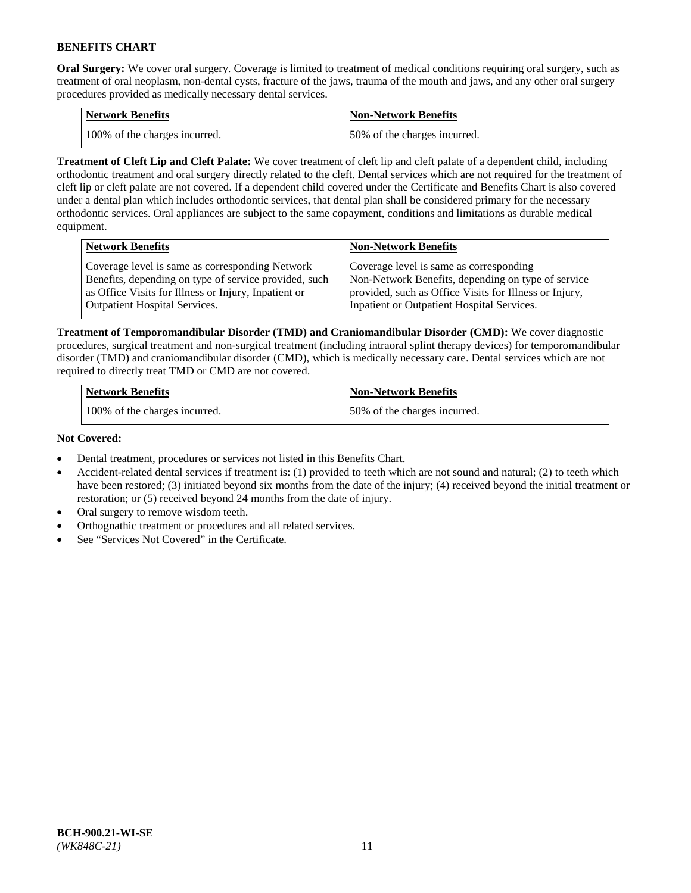**Oral Surgery:** We cover oral surgery. Coverage is limited to treatment of medical conditions requiring oral surgery, such as treatment of oral neoplasm, non-dental cysts, fracture of the jaws, trauma of the mouth and jaws, and any other oral surgery procedures provided as medically necessary dental services.

| <b>Network Benefits</b>       | Non-Network Benefits         |
|-------------------------------|------------------------------|
| 100% of the charges incurred. | 50% of the charges incurred. |

**Treatment of Cleft Lip and Cleft Palate:** We cover treatment of cleft lip and cleft palate of a dependent child, including orthodontic treatment and oral surgery directly related to the cleft. Dental services which are not required for the treatment of cleft lip or cleft palate are not covered. If a dependent child covered under the Certificate and Benefits Chart is also covered under a dental plan which includes orthodontic services, that dental plan shall be considered primary for the necessary orthodontic services. Oral appliances are subject to the same copayment, conditions and limitations as durable medical equipment.

| <b>Network Benefits</b>                               | <b>Non-Network Benefits</b>                            |
|-------------------------------------------------------|--------------------------------------------------------|
| Coverage level is same as corresponding Network       | Coverage level is same as corresponding                |
| Benefits, depending on type of service provided, such | Non-Network Benefits, depending on type of service     |
| as Office Visits for Illness or Injury, Inpatient or  | provided, such as Office Visits for Illness or Injury, |
| Outpatient Hospital Services.                         | Inpatient or Outpatient Hospital Services.             |

**Treatment of Temporomandibular Disorder (TMD) and Craniomandibular Disorder (CMD):** We cover diagnostic procedures, surgical treatment and non-surgical treatment (including intraoral splint therapy devices) for temporomandibular disorder (TMD) and craniomandibular disorder (CMD), which is medically necessary care. Dental services which are not required to directly treat TMD or CMD are not covered.

| <b>Network Benefits</b>       | <b>Non-Network Benefits</b>  |
|-------------------------------|------------------------------|
| 100% of the charges incurred. | 50% of the charges incurred. |

### **Not Covered:**

- Dental treatment, procedures or services not listed in this Benefits Chart.
- Accident-related dental services if treatment is: (1) provided to teeth which are not sound and natural; (2) to teeth which have been restored; (3) initiated beyond six months from the date of the injury; (4) received beyond the initial treatment or restoration; or (5) received beyond 24 months from the date of injury.
- Oral surgery to remove wisdom teeth.
- Orthognathic treatment or procedures and all related services.
- See "Services Not Covered" in the Certificate.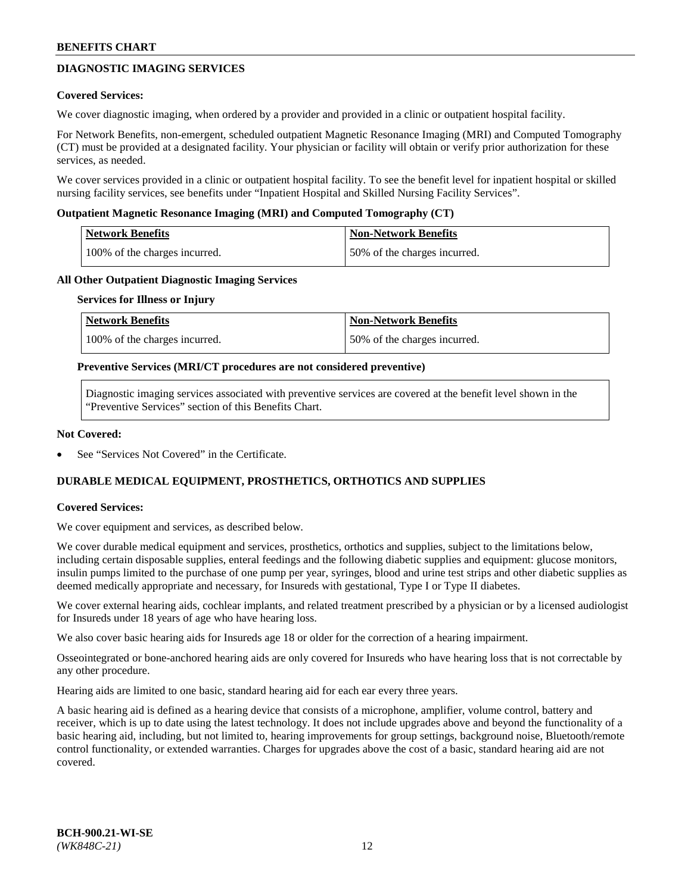## **DIAGNOSTIC IMAGING SERVICES**

### **Covered Services:**

We cover diagnostic imaging, when ordered by a provider and provided in a clinic or outpatient hospital facility.

For Network Benefits, non-emergent, scheduled outpatient Magnetic Resonance Imaging (MRI) and Computed Tomography (CT) must be provided at a designated facility. Your physician or facility will obtain or verify prior authorization for these services, as needed.

We cover services provided in a clinic or outpatient hospital facility. To see the benefit level for inpatient hospital or skilled nursing facility services, see benefits under "Inpatient Hospital and Skilled Nursing Facility Services".

### **Outpatient Magnetic Resonance Imaging (MRI) and Computed Tomography (CT)**

| <b>Network Benefits</b>       | <b>Non-Network Benefits</b>  |
|-------------------------------|------------------------------|
| 100% of the charges incurred. | 50% of the charges incurred. |

### **All Other Outpatient Diagnostic Imaging Services**

#### **Services for Illness or Injury**

| Network Benefits              | <b>Non-Network Benefits</b>  |
|-------------------------------|------------------------------|
| 100% of the charges incurred. | 50% of the charges incurred. |

### **Preventive Services (MRI/CT procedures are not considered preventive)**

Diagnostic imaging services associated with preventive services are covered at the benefit level shown in the "Preventive Services" section of this Benefits Chart.

### **Not Covered:**

See "Services Not Covered" in the Certificate.

## **DURABLE MEDICAL EQUIPMENT, PROSTHETICS, ORTHOTICS AND SUPPLIES**

#### **Covered Services:**

We cover equipment and services, as described below.

We cover durable medical equipment and services, prosthetics, orthotics and supplies, subject to the limitations below, including certain disposable supplies, enteral feedings and the following diabetic supplies and equipment: glucose monitors, insulin pumps limited to the purchase of one pump per year, syringes, blood and urine test strips and other diabetic supplies as deemed medically appropriate and necessary, for Insureds with gestational, Type I or Type II diabetes.

We cover external hearing aids, cochlear implants, and related treatment prescribed by a physician or by a licensed audiologist for Insureds under 18 years of age who have hearing loss.

We also cover basic hearing aids for Insureds age 18 or older for the correction of a hearing impairment.

Osseointegrated or bone-anchored hearing aids are only covered for Insureds who have hearing loss that is not correctable by any other procedure.

Hearing aids are limited to one basic, standard hearing aid for each ear every three years.

A basic hearing aid is defined as a hearing device that consists of a microphone, amplifier, volume control, battery and receiver, which is up to date using the latest technology. It does not include upgrades above and beyond the functionality of a basic hearing aid, including, but not limited to, hearing improvements for group settings, background noise, Bluetooth/remote control functionality, or extended warranties. Charges for upgrades above the cost of a basic, standard hearing aid are not covered.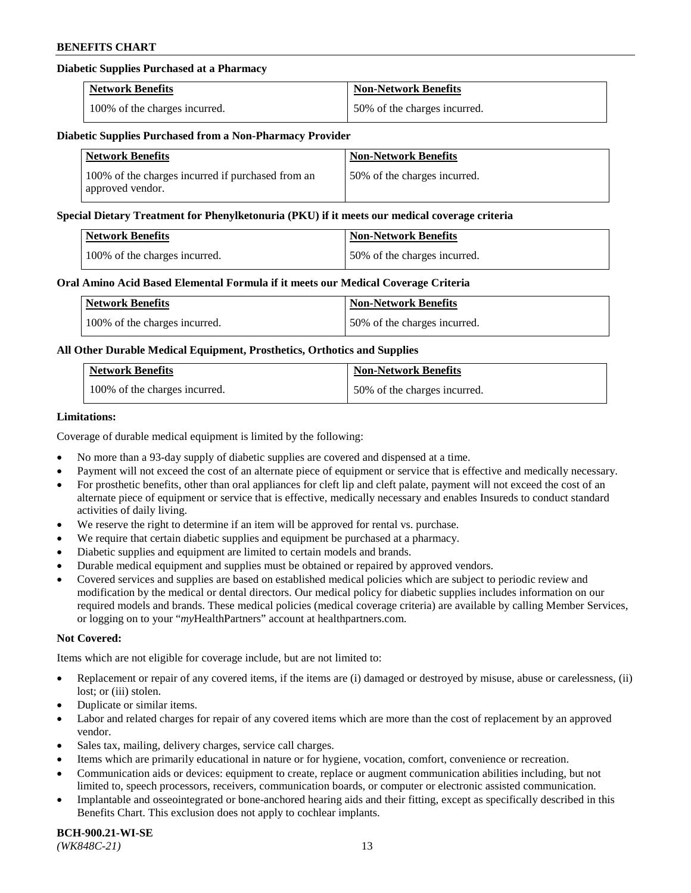## **Diabetic Supplies Purchased at a Pharmacy**

| <b>Network Benefits</b>       | <b>Non-Network Benefits</b>  |
|-------------------------------|------------------------------|
| 100% of the charges incurred. | 50% of the charges incurred. |

#### **Diabetic Supplies Purchased from a Non-Pharmacy Provider**

| <b>Network Benefits</b>                                               | <b>Non-Network Benefits</b>  |
|-----------------------------------------------------------------------|------------------------------|
| 100% of the charges incurred if purchased from an<br>approved vendor. | 50% of the charges incurred. |

#### **Special Dietary Treatment for Phenylketonuria (PKU) if it meets our medical coverage criteria**

| <b>Network Benefits</b>       | <b>Non-Network Benefits</b>  |
|-------------------------------|------------------------------|
| 100% of the charges incurred. | 50% of the charges incurred. |

### **Oral Amino Acid Based Elemental Formula if it meets our Medical Coverage Criteria**

| Network Benefits              | <b>Non-Network Benefits</b>  |
|-------------------------------|------------------------------|
| 100% of the charges incurred. | 50% of the charges incurred. |

## **All Other Durable Medical Equipment, Prosthetics, Orthotics and Supplies**

| <b>Network Benefits</b>       | <b>Non-Network Benefits</b>  |
|-------------------------------|------------------------------|
| 100% of the charges incurred. | 50% of the charges incurred. |

### **Limitations:**

Coverage of durable medical equipment is limited by the following:

- No more than a 93-day supply of diabetic supplies are covered and dispensed at a time.
- Payment will not exceed the cost of an alternate piece of equipment or service that is effective and medically necessary.
- For prosthetic benefits, other than oral appliances for cleft lip and cleft palate, payment will not exceed the cost of an alternate piece of equipment or service that is effective, medically necessary and enables Insureds to conduct standard activities of daily living.
- We reserve the right to determine if an item will be approved for rental vs. purchase.
- We require that certain diabetic supplies and equipment be purchased at a pharmacy.
- Diabetic supplies and equipment are limited to certain models and brands.
- Durable medical equipment and supplies must be obtained or repaired by approved vendors.
- Covered services and supplies are based on established medical policies which are subject to periodic review and modification by the medical or dental directors. Our medical policy for diabetic supplies includes information on our required models and brands. These medical policies (medical coverage criteria) are available by calling Member Services, or logging on to your "*my*HealthPartners" account a[t healthpartners.com.](https://www.healthpartners.com/hp/index.html)

#### **Not Covered:**

Items which are not eligible for coverage include, but are not limited to:

- Replacement or repair of any covered items, if the items are (i) damaged or destroyed by misuse, abuse or carelessness, (ii) lost; or (iii) stolen.
- Duplicate or similar items.
- Labor and related charges for repair of any covered items which are more than the cost of replacement by an approved vendor.
- Sales tax, mailing, delivery charges, service call charges.
- Items which are primarily educational in nature or for hygiene, vocation, comfort, convenience or recreation.
- Communication aids or devices: equipment to create, replace or augment communication abilities including, but not limited to, speech processors, receivers, communication boards, or computer or electronic assisted communication.
- Implantable and osseointegrated or bone-anchored hearing aids and their fitting, except as specifically described in this Benefits Chart. This exclusion does not apply to cochlear implants.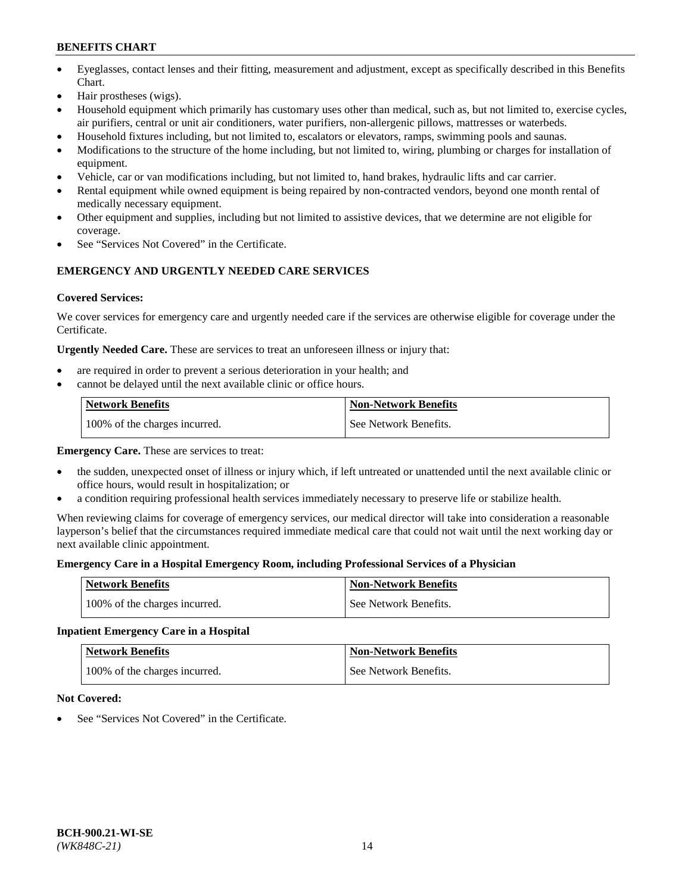- Eyeglasses, contact lenses and their fitting, measurement and adjustment, except as specifically described in this Benefits Chart.
- Hair prostheses (wigs).
- Household equipment which primarily has customary uses other than medical, such as, but not limited to, exercise cycles, air purifiers, central or unit air conditioners, water purifiers, non-allergenic pillows, mattresses or waterbeds.
- Household fixtures including, but not limited to, escalators or elevators, ramps, swimming pools and saunas.
- Modifications to the structure of the home including, but not limited to, wiring, plumbing or charges for installation of equipment.
- Vehicle, car or van modifications including, but not limited to, hand brakes, hydraulic lifts and car carrier.
- Rental equipment while owned equipment is being repaired by non-contracted vendors, beyond one month rental of medically necessary equipment.
- Other equipment and supplies, including but not limited to assistive devices, that we determine are not eligible for coverage.
- See "Services Not Covered" in the Certificate.

## **EMERGENCY AND URGENTLY NEEDED CARE SERVICES**

## **Covered Services:**

We cover services for emergency care and urgently needed care if the services are otherwise eligible for coverage under the Certificate.

**Urgently Needed Care.** These are services to treat an unforeseen illness or injury that:

- are required in order to prevent a serious deterioration in your health; and
- cannot be delayed until the next available clinic or office hours.

| <b>Network Benefits</b>       | <b>Non-Network Benefits</b> |
|-------------------------------|-----------------------------|
| 100% of the charges incurred. | See Network Benefits.       |

**Emergency Care.** These are services to treat:

- the sudden, unexpected onset of illness or injury which, if left untreated or unattended until the next available clinic or office hours, would result in hospitalization; or
- a condition requiring professional health services immediately necessary to preserve life or stabilize health.

When reviewing claims for coverage of emergency services, our medical director will take into consideration a reasonable layperson's belief that the circumstances required immediate medical care that could not wait until the next working day or next available clinic appointment.

## **Emergency Care in a Hospital Emergency Room, including Professional Services of a Physician**

| <b>Network Benefits</b>       | <b>Non-Network Benefits</b> |
|-------------------------------|-----------------------------|
| 100% of the charges incurred. | See Network Benefits.       |

## **Inpatient Emergency Care in a Hospital**

| <b>Network Benefits</b>       | <b>Non-Network Benefits</b> |
|-------------------------------|-----------------------------|
| 100% of the charges incurred. | See Network Benefits.       |

## **Not Covered:**

See "Services Not Covered" in the Certificate.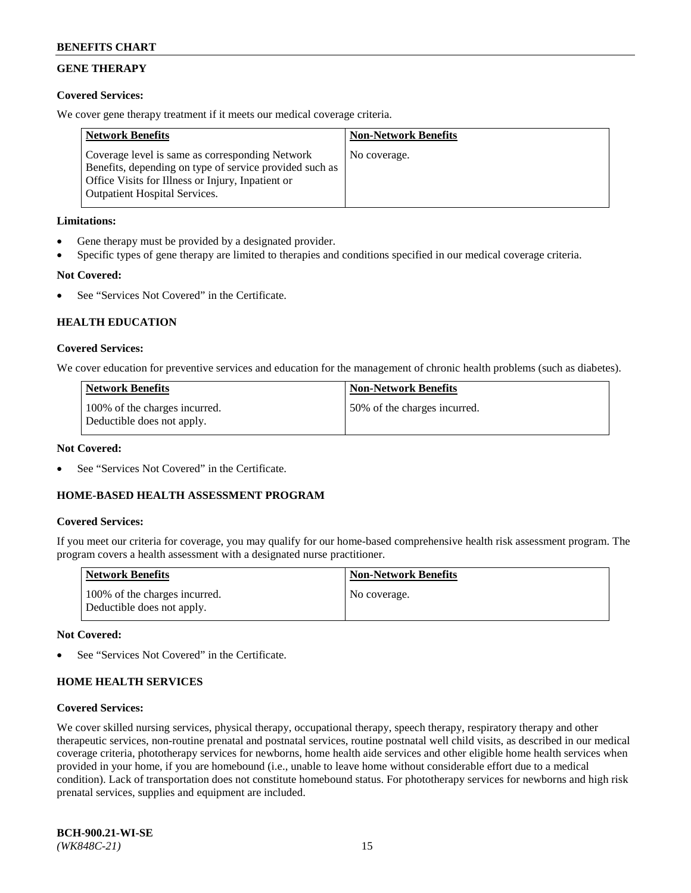## **GENE THERAPY**

## **Covered Services:**

We cover gene therapy treatment if it meets our medical coverage criteria.

| <b>Network Benefits</b>                                                                                                                                                                                 | <b>Non-Network Benefits</b> |
|---------------------------------------------------------------------------------------------------------------------------------------------------------------------------------------------------------|-----------------------------|
| Coverage level is same as corresponding Network<br>Benefits, depending on type of service provided such as<br>Office Visits for Illness or Injury, Inpatient or<br><b>Outpatient Hospital Services.</b> | No coverage.                |

## **Limitations:**

- Gene therapy must be provided by a designated provider.
- Specific types of gene therapy are limited to therapies and conditions specified in our medical coverage criteria.

## **Not Covered:**

See "Services Not Covered" in the Certificate.

## **HEALTH EDUCATION**

## **Covered Services:**

We cover education for preventive services and education for the management of chronic health problems (such as diabetes).

| <b>Network Benefits</b>                                     | <b>Non-Network Benefits</b>   |
|-------------------------------------------------------------|-------------------------------|
| 100% of the charges incurred.<br>Deductible does not apply. | 150% of the charges incurred. |

### **Not Covered:**

See "Services Not Covered" in the Certificate.

## **HOME-BASED HEALTH ASSESSMENT PROGRAM**

## **Covered Services:**

If you meet our criteria for coverage, you may qualify for our home-based comprehensive health risk assessment program. The program covers a health assessment with a designated nurse practitioner.

| <b>Network Benefits</b>                                     | <b>Non-Network Benefits</b> |
|-------------------------------------------------------------|-----------------------------|
| 100% of the charges incurred.<br>Deductible does not apply. | No coverage.                |

## **Not Covered:**

See "Services Not Covered" in the Certificate.

## **HOME HEALTH SERVICES**

#### **Covered Services:**

We cover skilled nursing services, physical therapy, occupational therapy, speech therapy, respiratory therapy and other therapeutic services, non-routine prenatal and postnatal services, routine postnatal well child visits, as described in our medical coverage criteria, phototherapy services for newborns, home health aide services and other eligible home health services when provided in your home, if you are homebound (i.e., unable to leave home without considerable effort due to a medical condition). Lack of transportation does not constitute homebound status. For phototherapy services for newborns and high risk prenatal services, supplies and equipment are included.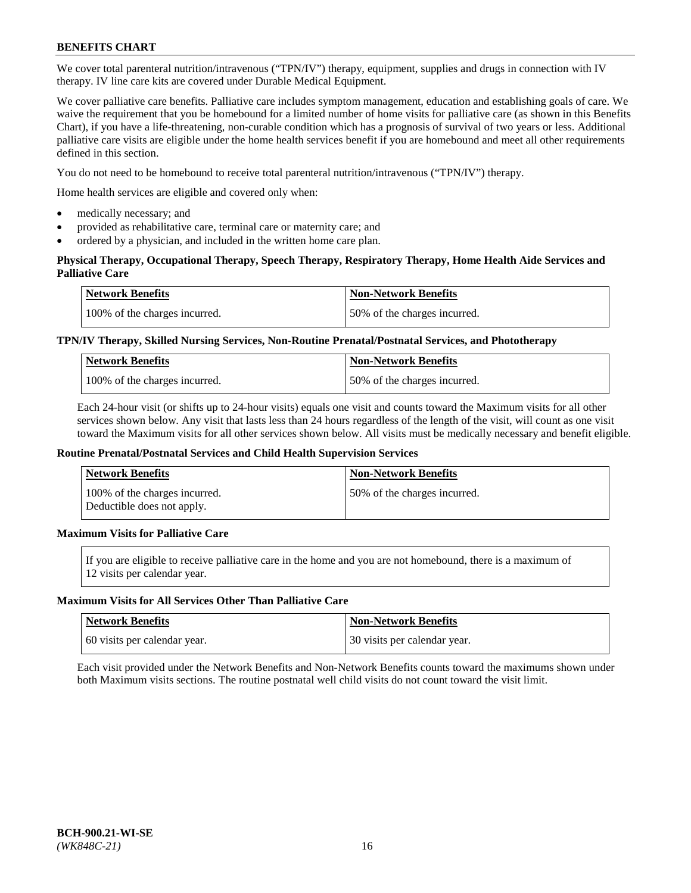We cover total parenteral nutrition/intravenous ("TPN/IV") therapy, equipment, supplies and drugs in connection with IV therapy. IV line care kits are covered under Durable Medical Equipment.

We cover palliative care benefits. Palliative care includes symptom management, education and establishing goals of care. We waive the requirement that you be homebound for a limited number of home visits for palliative care (as shown in this Benefits Chart), if you have a life-threatening, non-curable condition which has a prognosis of survival of two years or less. Additional palliative care visits are eligible under the home health services benefit if you are homebound and meet all other requirements defined in this section.

You do not need to be homebound to receive total parenteral nutrition/intravenous ("TPN/IV") therapy.

Home health services are eligible and covered only when:

- medically necessary; and
- provided as rehabilitative care, terminal care or maternity care; and
- ordered by a physician, and included in the written home care plan.

## **Physical Therapy, Occupational Therapy, Speech Therapy, Respiratory Therapy, Home Health Aide Services and Palliative Care**

| <b>Network Benefits</b>       | <b>Non-Network Benefits</b>  |
|-------------------------------|------------------------------|
| 100% of the charges incurred. | 50% of the charges incurred. |

## **TPN/IV Therapy, Skilled Nursing Services, Non-Routine Prenatal/Postnatal Services, and Phototherapy**

| <b>Network Benefits</b>       | <b>Non-Network Benefits</b>  |
|-------------------------------|------------------------------|
| 100% of the charges incurred. | 50% of the charges incurred. |

Each 24-hour visit (or shifts up to 24-hour visits) equals one visit and counts toward the Maximum visits for all other services shown below. Any visit that lasts less than 24 hours regardless of the length of the visit, will count as one visit toward the Maximum visits for all other services shown below. All visits must be medically necessary and benefit eligible.

#### **Routine Prenatal/Postnatal Services and Child Health Supervision Services**

| <b>Network Benefits</b>                                     | <b>Non-Network Benefits</b>  |
|-------------------------------------------------------------|------------------------------|
| 100% of the charges incurred.<br>Deductible does not apply. | 50% of the charges incurred. |

## **Maximum Visits for Palliative Care**

If you are eligible to receive palliative care in the home and you are not homebound, there is a maximum of 12 visits per calendar year.

#### **Maximum Visits for All Services Other Than Palliative Care**

| Network Benefits             | <b>Non-Network Benefits</b>    |
|------------------------------|--------------------------------|
| 60 visits per calendar year. | 1 30 visits per calendar year. |

Each visit provided under the Network Benefits and Non-Network Benefits counts toward the maximums shown under both Maximum visits sections. The routine postnatal well child visits do not count toward the visit limit.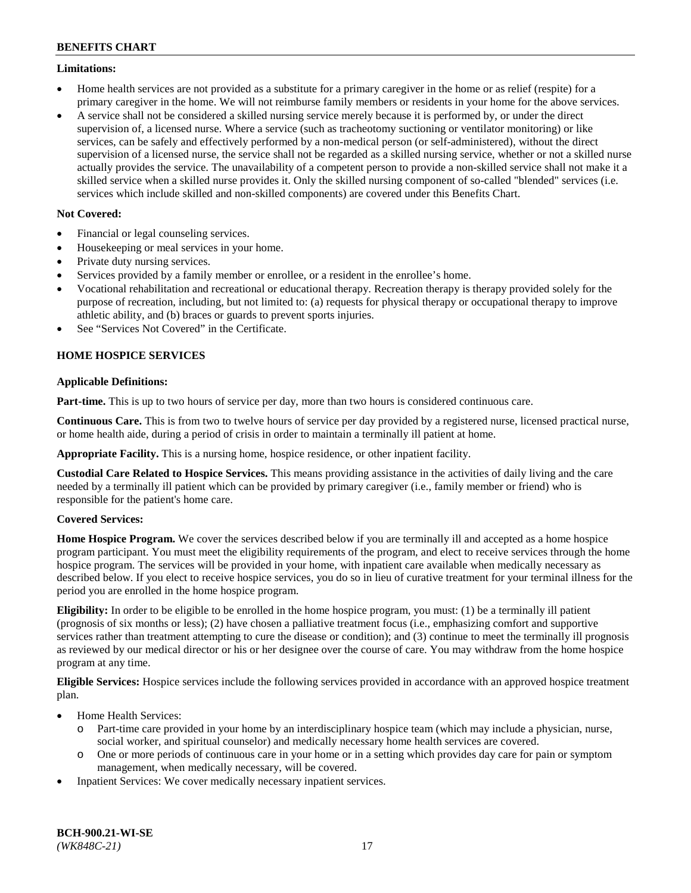### **Limitations:**

- Home health services are not provided as a substitute for a primary caregiver in the home or as relief (respite) for a primary caregiver in the home. We will not reimburse family members or residents in your home for the above services.
- A service shall not be considered a skilled nursing service merely because it is performed by, or under the direct supervision of, a licensed nurse. Where a service (such as tracheotomy suctioning or ventilator monitoring) or like services, can be safely and effectively performed by a non-medical person (or self-administered), without the direct supervision of a licensed nurse, the service shall not be regarded as a skilled nursing service, whether or not a skilled nurse actually provides the service. The unavailability of a competent person to provide a non-skilled service shall not make it a skilled service when a skilled nurse provides it. Only the skilled nursing component of so-called "blended" services (i.e. services which include skilled and non-skilled components) are covered under this Benefits Chart.

## **Not Covered:**

- Financial or legal counseling services.
- Housekeeping or meal services in your home.
- Private duty nursing services.
- Services provided by a family member or enrollee, or a resident in the enrollee's home.
- Vocational rehabilitation and recreational or educational therapy. Recreation therapy is therapy provided solely for the purpose of recreation, including, but not limited to: (a) requests for physical therapy or occupational therapy to improve athletic ability, and (b) braces or guards to prevent sports injuries.
- See "Services Not Covered" in the Certificate.

## **HOME HOSPICE SERVICES**

## **Applicable Definitions:**

**Part-time.** This is up to two hours of service per day, more than two hours is considered continuous care.

**Continuous Care.** This is from two to twelve hours of service per day provided by a registered nurse, licensed practical nurse, or home health aide, during a period of crisis in order to maintain a terminally ill patient at home.

**Appropriate Facility.** This is a nursing home, hospice residence, or other inpatient facility.

**Custodial Care Related to Hospice Services.** This means providing assistance in the activities of daily living and the care needed by a terminally ill patient which can be provided by primary caregiver (i.e., family member or friend) who is responsible for the patient's home care.

## **Covered Services:**

**Home Hospice Program.** We cover the services described below if you are terminally ill and accepted as a home hospice program participant. You must meet the eligibility requirements of the program, and elect to receive services through the home hospice program. The services will be provided in your home, with inpatient care available when medically necessary as described below. If you elect to receive hospice services, you do so in lieu of curative treatment for your terminal illness for the period you are enrolled in the home hospice program.

**Eligibility:** In order to be eligible to be enrolled in the home hospice program, you must: (1) be a terminally ill patient (prognosis of six months or less); (2) have chosen a palliative treatment focus (i.e., emphasizing comfort and supportive services rather than treatment attempting to cure the disease or condition); and (3) continue to meet the terminally ill prognosis as reviewed by our medical director or his or her designee over the course of care. You may withdraw from the home hospice program at any time.

**Eligible Services:** Hospice services include the following services provided in accordance with an approved hospice treatment plan.

- Home Health Services:
	- o Part-time care provided in your home by an interdisciplinary hospice team (which may include a physician, nurse, social worker, and spiritual counselor) and medically necessary home health services are covered.
	- o One or more periods of continuous care in your home or in a setting which provides day care for pain or symptom management, when medically necessary, will be covered.
- Inpatient Services: We cover medically necessary inpatient services.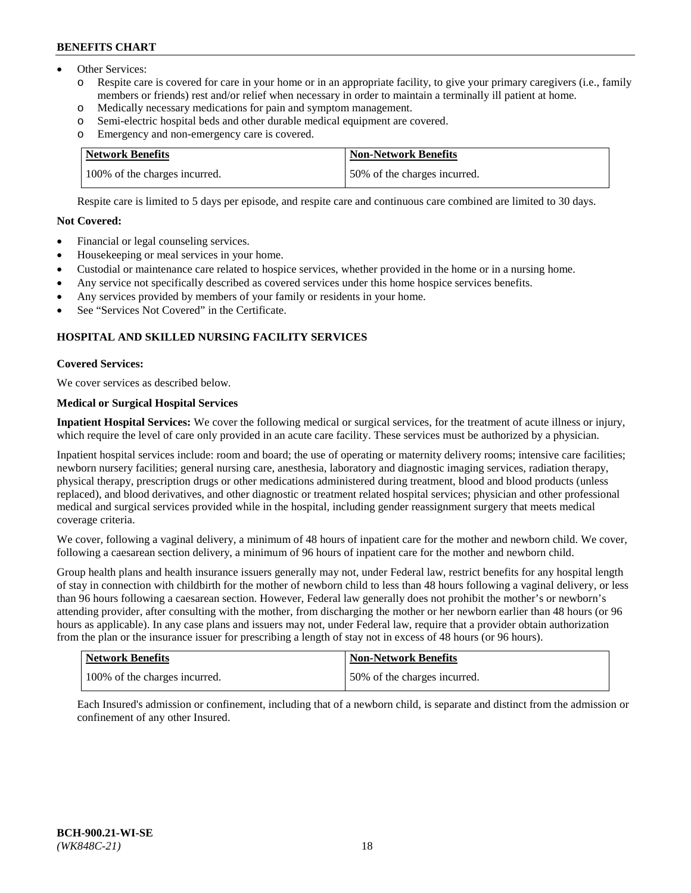- Other Services:
	- Respite care is covered for care in your home or in an appropriate facility, to give your primary caregivers (i.e., family members or friends) rest and/or relief when necessary in order to maintain a terminally ill patient at home.
	- o Medically necessary medications for pain and symptom management.
	- o Semi-electric hospital beds and other durable medical equipment are covered.
	- Emergency and non-emergency care is covered.

| Network Benefits              | <b>Non-Network Benefits</b>  |
|-------------------------------|------------------------------|
| 100% of the charges incurred. | 50% of the charges incurred. |

Respite care is limited to 5 days per episode, and respite care and continuous care combined are limited to 30 days.

## **Not Covered:**

- Financial or legal counseling services.
- Housekeeping or meal services in your home.
- Custodial or maintenance care related to hospice services, whether provided in the home or in a nursing home.
- Any service not specifically described as covered services under this home hospice services benefits.
- Any services provided by members of your family or residents in your home.
- See "Services Not Covered" in the Certificate.

## **HOSPITAL AND SKILLED NURSING FACILITY SERVICES**

## **Covered Services:**

We cover services as described below.

## **Medical or Surgical Hospital Services**

**Inpatient Hospital Services:** We cover the following medical or surgical services, for the treatment of acute illness or injury, which require the level of care only provided in an acute care facility. These services must be authorized by a physician.

Inpatient hospital services include: room and board; the use of operating or maternity delivery rooms; intensive care facilities; newborn nursery facilities; general nursing care, anesthesia, laboratory and diagnostic imaging services, radiation therapy, physical therapy, prescription drugs or other medications administered during treatment, blood and blood products (unless replaced), and blood derivatives, and other diagnostic or treatment related hospital services; physician and other professional medical and surgical services provided while in the hospital, including gender reassignment surgery that meets medical coverage criteria.

We cover, following a vaginal delivery, a minimum of 48 hours of inpatient care for the mother and newborn child. We cover, following a caesarean section delivery, a minimum of 96 hours of inpatient care for the mother and newborn child.

Group health plans and health insurance issuers generally may not, under Federal law, restrict benefits for any hospital length of stay in connection with childbirth for the mother of newborn child to less than 48 hours following a vaginal delivery, or less than 96 hours following a caesarean section. However, Federal law generally does not prohibit the mother's or newborn's attending provider, after consulting with the mother, from discharging the mother or her newborn earlier than 48 hours (or 96 hours as applicable). In any case plans and issuers may not, under Federal law, require that a provider obtain authorization from the plan or the insurance issuer for prescribing a length of stay not in excess of 48 hours (or 96 hours).

| Network Benefits              | Non-Network Benefits         |
|-------------------------------|------------------------------|
| 100% of the charges incurred. | 50% of the charges incurred. |

Each Insured's admission or confinement, including that of a newborn child, is separate and distinct from the admission or confinement of any other Insured.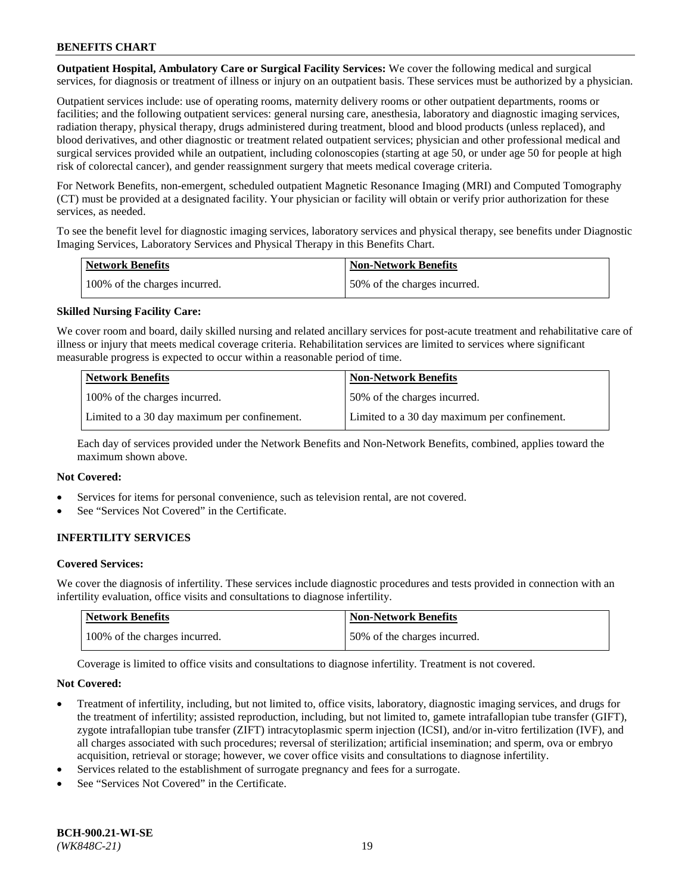**Outpatient Hospital, Ambulatory Care or Surgical Facility Services:** We cover the following medical and surgical services, for diagnosis or treatment of illness or injury on an outpatient basis. These services must be authorized by a physician.

Outpatient services include: use of operating rooms, maternity delivery rooms or other outpatient departments, rooms or facilities; and the following outpatient services: general nursing care, anesthesia, laboratory and diagnostic imaging services, radiation therapy, physical therapy, drugs administered during treatment, blood and blood products (unless replaced), and blood derivatives, and other diagnostic or treatment related outpatient services; physician and other professional medical and surgical services provided while an outpatient, including colonoscopies (starting at age 50, or under age 50 for people at high risk of colorectal cancer), and gender reassignment surgery that meets medical coverage criteria.

For Network Benefits, non-emergent, scheduled outpatient Magnetic Resonance Imaging (MRI) and Computed Tomography (CT) must be provided at a designated facility. Your physician or facility will obtain or verify prior authorization for these services, as needed.

To see the benefit level for diagnostic imaging services, laboratory services and physical therapy, see benefits under Diagnostic Imaging Services, Laboratory Services and Physical Therapy in this Benefits Chart.

| <b>Network Benefits</b>       | <b>Non-Network Benefits</b>  |
|-------------------------------|------------------------------|
| 100% of the charges incurred. | 50% of the charges incurred. |

## **Skilled Nursing Facility Care:**

We cover room and board, daily skilled nursing and related ancillary services for post-acute treatment and rehabilitative care of illness or injury that meets medical coverage criteria. Rehabilitation services are limited to services where significant measurable progress is expected to occur within a reasonable period of time.

| <b>Network Benefits</b>                      | <b>Non-Network Benefits</b>                  |
|----------------------------------------------|----------------------------------------------|
| 100% of the charges incurred.                | 50% of the charges incurred.                 |
| Limited to a 30 day maximum per confinement. | Limited to a 30 day maximum per confinement. |

Each day of services provided under the Network Benefits and Non-Network Benefits, combined, applies toward the maximum shown above.

#### **Not Covered:**

- Services for items for personal convenience, such as television rental, are not covered.
- See "Services Not Covered" in the Certificate.

## **INFERTILITY SERVICES**

#### **Covered Services:**

We cover the diagnosis of infertility. These services include diagnostic procedures and tests provided in connection with an infertility evaluation, office visits and consultations to diagnose infertility.

| <b>Network Benefits</b>       | <b>Non-Network Benefits</b>  |
|-------------------------------|------------------------------|
| 100% of the charges incurred. | 50% of the charges incurred. |

Coverage is limited to office visits and consultations to diagnose infertility. Treatment is not covered.

#### **Not Covered:**

- Treatment of infertility, including, but not limited to, office visits, laboratory, diagnostic imaging services, and drugs for the treatment of infertility; assisted reproduction, including, but not limited to, gamete intrafallopian tube transfer (GIFT), zygote intrafallopian tube transfer (ZIFT) intracytoplasmic sperm injection (ICSI), and/or in-vitro fertilization (IVF), and all charges associated with such procedures; reversal of sterilization; artificial insemination; and sperm, ova or embryo acquisition, retrieval or storage; however, we cover office visits and consultations to diagnose infertility.
- Services related to the establishment of surrogate pregnancy and fees for a surrogate.
- See "Services Not Covered" in the Certificate.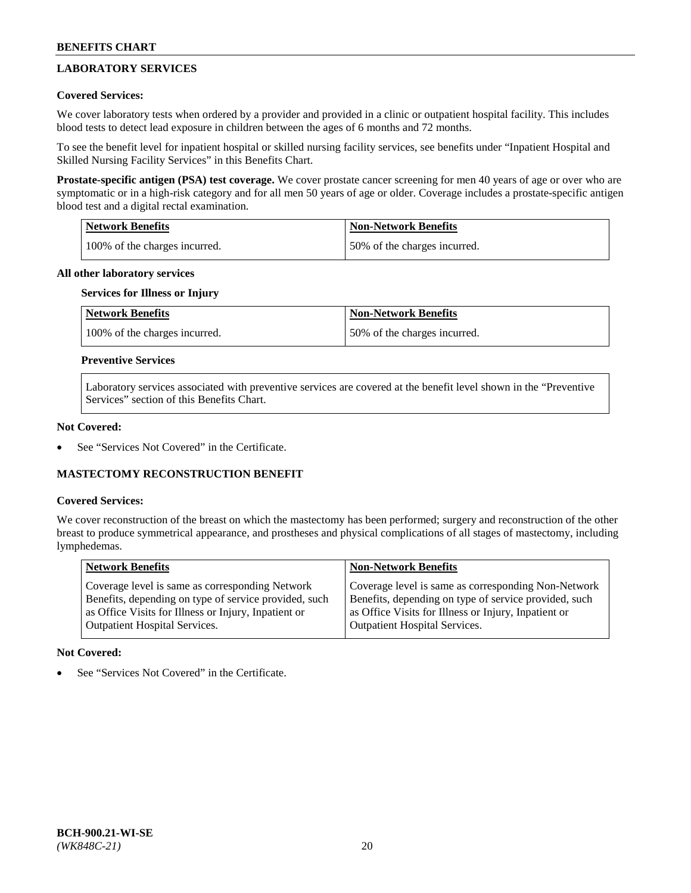## **LABORATORY SERVICES**

## **Covered Services:**

We cover laboratory tests when ordered by a provider and provided in a clinic or outpatient hospital facility. This includes blood tests to detect lead exposure in children between the ages of 6 months and 72 months.

To see the benefit level for inpatient hospital or skilled nursing facility services, see benefits under "Inpatient Hospital and Skilled Nursing Facility Services" in this Benefits Chart.

**Prostate-specific antigen (PSA) test coverage.** We cover prostate cancer screening for men 40 years of age or over who are symptomatic or in a high-risk category and for all men 50 years of age or older. Coverage includes a prostate-specific antigen blood test and a digital rectal examination.

| Network Benefits              | <b>Non-Network Benefits</b>  |
|-------------------------------|------------------------------|
| 100% of the charges incurred. | 50% of the charges incurred. |

## **All other laboratory services**

## **Services for Illness or Injury**

| <b>Network Benefits</b>       | <b>Non-Network Benefits</b>  |
|-------------------------------|------------------------------|
| 100% of the charges incurred. | 50% of the charges incurred. |

## **Preventive Services**

Laboratory services associated with preventive services are covered at the benefit level shown in the "Preventive Services" section of this Benefits Chart.

### **Not Covered:**

See "Services Not Covered" in the Certificate.

## **MASTECTOMY RECONSTRUCTION BENEFIT**

#### **Covered Services:**

We cover reconstruction of the breast on which the mastectomy has been performed; surgery and reconstruction of the other breast to produce symmetrical appearance, and prostheses and physical complications of all stages of mastectomy, including lymphedemas.

| <b>Network Benefits</b>                               | <b>Non-Network Benefits</b>                           |
|-------------------------------------------------------|-------------------------------------------------------|
| Coverage level is same as corresponding Network       | Coverage level is same as corresponding Non-Network   |
| Benefits, depending on type of service provided, such | Benefits, depending on type of service provided, such |
| as Office Visits for Illness or Injury, Inpatient or  | as Office Visits for Illness or Injury, Inpatient or  |
| Outpatient Hospital Services.                         | Outpatient Hospital Services.                         |

## **Not Covered:**

See "Services Not Covered" in the Certificate.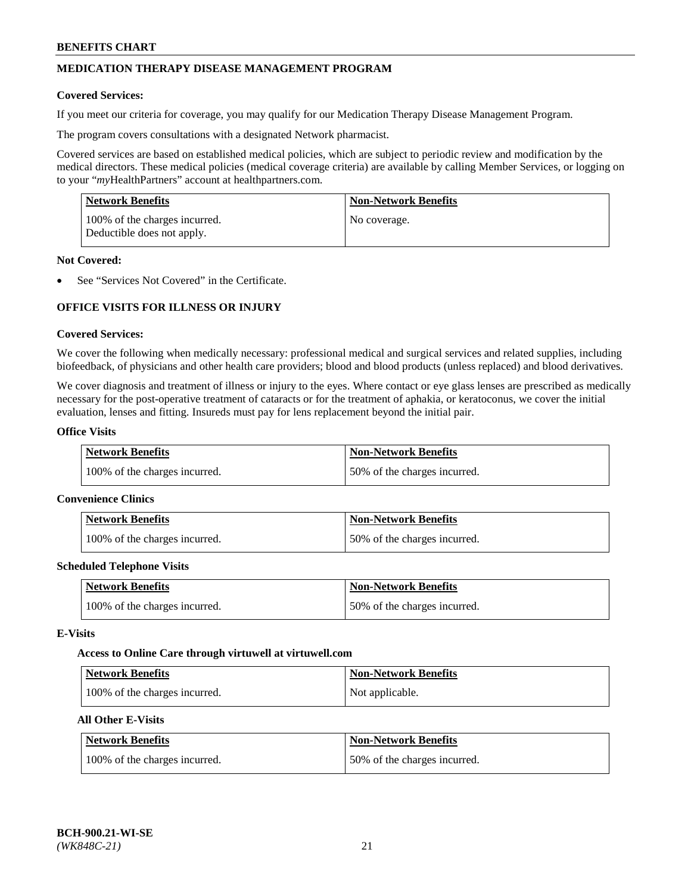## **MEDICATION THERAPY DISEASE MANAGEMENT PROGRAM**

### **Covered Services:**

If you meet our criteria for coverage, you may qualify for our Medication Therapy Disease Management Program.

The program covers consultations with a designated Network pharmacist.

Covered services are based on established medical policies, which are subject to periodic review and modification by the medical directors. These medical policies (medical coverage criteria) are available by calling Member Services, or logging on to your "*my*HealthPartners" account at [healthpartners.com.](http://www.healthpartners.com/)

| Network Benefits                                            | <b>Non-Network Benefits</b> |
|-------------------------------------------------------------|-----------------------------|
| 100% of the charges incurred.<br>Deductible does not apply. | No coverage.                |

### **Not Covered:**

See "Services Not Covered" in the Certificate.

## **OFFICE VISITS FOR ILLNESS OR INJURY**

### **Covered Services:**

We cover the following when medically necessary: professional medical and surgical services and related supplies, including biofeedback, of physicians and other health care providers; blood and blood products (unless replaced) and blood derivatives.

We cover diagnosis and treatment of illness or injury to the eyes. Where contact or eye glass lenses are prescribed as medically necessary for the post-operative treatment of cataracts or for the treatment of aphakia, or keratoconus, we cover the initial evaluation, lenses and fitting. Insureds must pay for lens replacement beyond the initial pair.

## **Office Visits**

| <b>Network Benefits</b>       | <b>Non-Network Benefits</b>  |
|-------------------------------|------------------------------|
| 100% of the charges incurred. | 50% of the charges incurred. |

#### **Convenience Clinics**

| Network Benefits              | <b>Non-Network Benefits</b>  |
|-------------------------------|------------------------------|
| 100% of the charges incurred. | 50% of the charges incurred. |

#### **Scheduled Telephone Visits**

| <b>Network Benefits</b>       | <b>Non-Network Benefits</b>  |
|-------------------------------|------------------------------|
| 100% of the charges incurred. | 50% of the charges incurred. |

#### **E-Visits**

#### **Access to Online Care through virtuwell a[t virtuwell.com](https://www.virtuwell.com/)**

| <b>Network Benefits</b>       | <b>Non-Network Benefits</b> |
|-------------------------------|-----------------------------|
| 100% of the charges incurred. | Not applicable.             |

## **All Other E-Visits**

| <b>Network Benefits</b>       | <b>Non-Network Benefits</b>  |
|-------------------------------|------------------------------|
| 100% of the charges incurred. | 50% of the charges incurred. |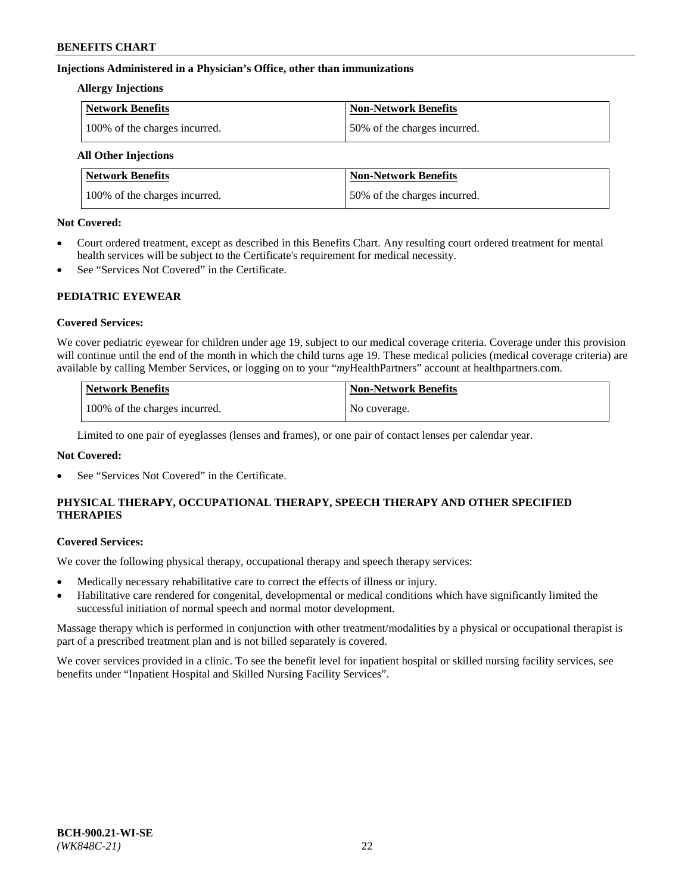## **Injections Administered in a Physician's Office, other than immunizations**

### **Allergy Injections**

| <b>Network Benefits</b>       | <b>Non-Network Benefits</b>  |
|-------------------------------|------------------------------|
| 100% of the charges incurred. | 50% of the charges incurred. |

## **All Other Injections**

| <b>Network Benefits</b>       | <b>Non-Network Benefits</b>  |
|-------------------------------|------------------------------|
| 100% of the charges incurred. | 50% of the charges incurred. |

### **Not Covered:**

- Court ordered treatment, except as described in this Benefits Chart. Any resulting court ordered treatment for mental health services will be subject to the Certificate's requirement for medical necessity.
- See "Services Not Covered" in the Certificate.

## **PEDIATRIC EYEWEAR**

## **Covered Services:**

We cover pediatric eyewear for children under age 19, subject to our medical coverage criteria. Coverage under this provision will continue until the end of the month in which the child turns age 19. These medical policies (medical coverage criteria) are available by calling Member Services, or logging on to your "*my*HealthPartners" account a[t healthpartners.com.](https://www.healthpartners.com/hp/index.html)

| Network Benefits              | <b>Non-Network Benefits</b> |
|-------------------------------|-----------------------------|
| 100% of the charges incurred. | No coverage.                |

Limited to one pair of eyeglasses (lenses and frames), or one pair of contact lenses per calendar year.

## **Not Covered:**

See "Services Not Covered" in the Certificate.

## **PHYSICAL THERAPY, OCCUPATIONAL THERAPY, SPEECH THERAPY AND OTHER SPECIFIED THERAPIES**

#### **Covered Services:**

We cover the following physical therapy, occupational therapy and speech therapy services:

- Medically necessary rehabilitative care to correct the effects of illness or injury.
- Habilitative care rendered for congenital, developmental or medical conditions which have significantly limited the successful initiation of normal speech and normal motor development.

Massage therapy which is performed in conjunction with other treatment/modalities by a physical or occupational therapist is part of a prescribed treatment plan and is not billed separately is covered.

We cover services provided in a clinic. To see the benefit level for inpatient hospital or skilled nursing facility services, see benefits under "Inpatient Hospital and Skilled Nursing Facility Services".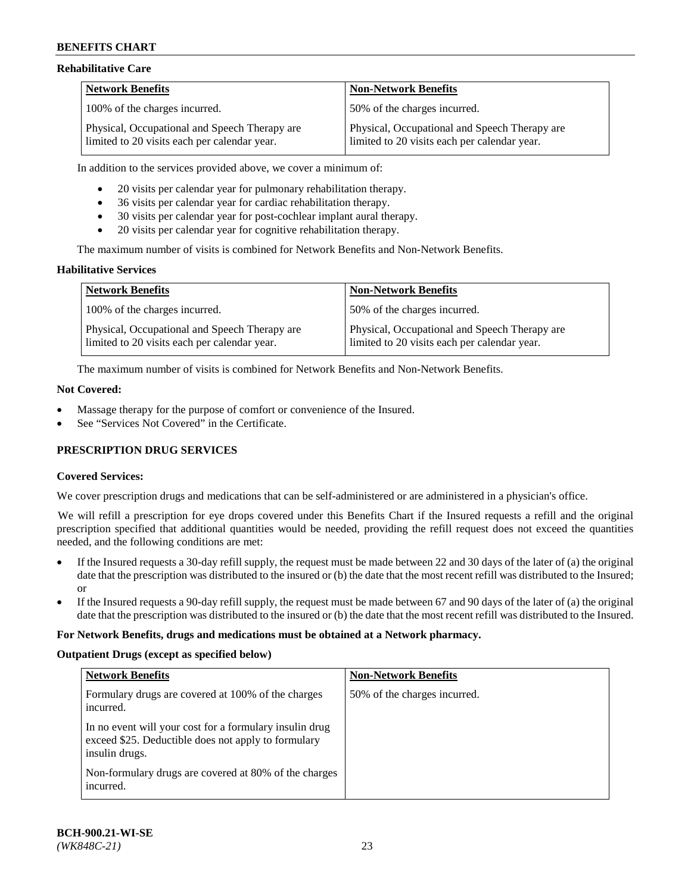### **Rehabilitative Care**

| <b>Network Benefits</b>                                                                       | <b>Non-Network Benefits</b>                                                                   |
|-----------------------------------------------------------------------------------------------|-----------------------------------------------------------------------------------------------|
| 100% of the charges incurred.                                                                 | 50% of the charges incurred.                                                                  |
| Physical, Occupational and Speech Therapy are<br>limited to 20 visits each per calendar year. | Physical, Occupational and Speech Therapy are<br>limited to 20 visits each per calendar year. |

In addition to the services provided above, we cover a minimum of:

- 20 visits per calendar year for pulmonary rehabilitation therapy.
- 36 visits per calendar year for cardiac rehabilitation therapy.
- 30 visits per calendar year for post-cochlear implant aural therapy.
- 20 visits per calendar year for cognitive rehabilitation therapy.

The maximum number of visits is combined for Network Benefits and Non-Network Benefits.

## **Habilitative Services**

| <b>Network Benefits</b>                                                                       | <b>Non-Network Benefits</b>                                                                   |
|-----------------------------------------------------------------------------------------------|-----------------------------------------------------------------------------------------------|
| 100% of the charges incurred.                                                                 | 50% of the charges incurred.                                                                  |
| Physical, Occupational and Speech Therapy are<br>limited to 20 visits each per calendar year. | Physical, Occupational and Speech Therapy are<br>limited to 20 visits each per calendar year. |

The maximum number of visits is combined for Network Benefits and Non-Network Benefits.

### **Not Covered:**

- Massage therapy for the purpose of comfort or convenience of the Insured.
- See "Services Not Covered" in the Certificate.

## **PRESCRIPTION DRUG SERVICES**

## **Covered Services:**

We cover prescription drugs and medications that can be self-administered or are administered in a physician's office.

We will refill a prescription for eye drops covered under this Benefits Chart if the Insured requests a refill and the original prescription specified that additional quantities would be needed, providing the refill request does not exceed the quantities needed, and the following conditions are met:

- If the Insured requests a 30-day refill supply, the request must be made between 22 and 30 days of the later of (a) the original date that the prescription was distributed to the insured or (b) the date that the most recent refill was distributed to the Insured; or
- If the Insured requests a 90-day refill supply, the request must be made between 67 and 90 days of the later of (a) the original date that the prescription was distributed to the insured or (b) the date that the most recent refill was distributed to the Insured.

#### **For Network Benefits, drugs and medications must be obtained at a Network pharmacy.**

#### **Outpatient Drugs (except as specified below)**

| <b>Network Benefits</b>                                                                                                          | <b>Non-Network Benefits</b>  |
|----------------------------------------------------------------------------------------------------------------------------------|------------------------------|
| Formulary drugs are covered at 100% of the charges<br>incurred.                                                                  | 50% of the charges incurred. |
| In no event will your cost for a formulary insulin drug<br>exceed \$25. Deductible does not apply to formulary<br>insulin drugs. |                              |
| Non-formulary drugs are covered at 80% of the charges<br>incurred.                                                               |                              |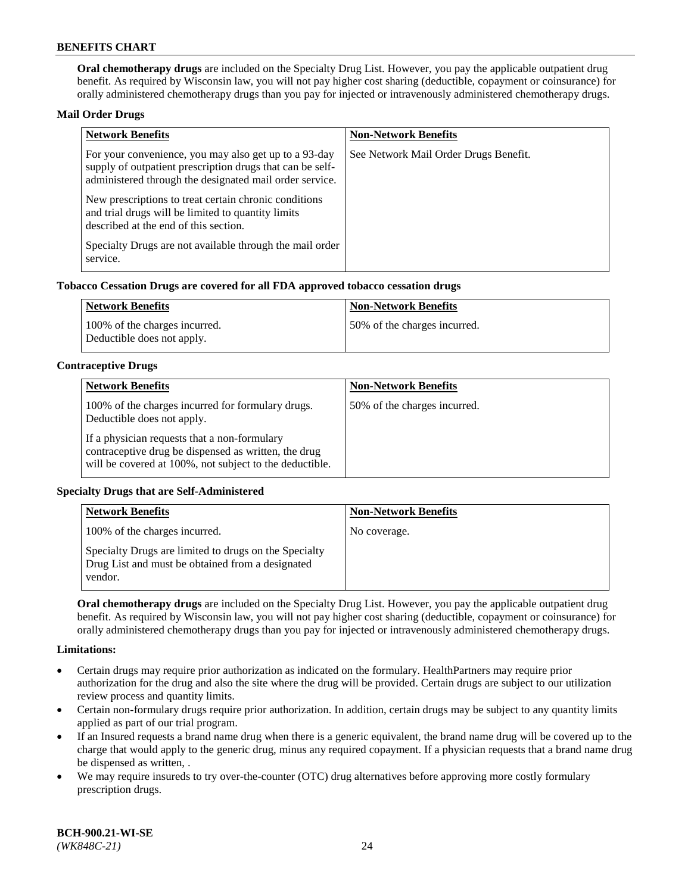**Oral chemotherapy drugs** are included on the Specialty Drug List. However, you pay the applicable outpatient drug benefit. As required by Wisconsin law, you will not pay higher cost sharing (deductible, copayment or coinsurance) for orally administered chemotherapy drugs than you pay for injected or intravenously administered chemotherapy drugs.

### **Mail Order Drugs**

| <b>Network Benefits</b>                                                                                                                                                       | <b>Non-Network Benefits</b>           |
|-------------------------------------------------------------------------------------------------------------------------------------------------------------------------------|---------------------------------------|
| For your convenience, you may also get up to a 93-day<br>supply of outpatient prescription drugs that can be self-<br>administered through the designated mail order service. | See Network Mail Order Drugs Benefit. |
| New prescriptions to treat certain chronic conditions<br>and trial drugs will be limited to quantity limits<br>described at the end of this section.                          |                                       |
| Specialty Drugs are not available through the mail order<br>service.                                                                                                          |                                       |

### **Tobacco Cessation Drugs are covered for all FDA approved tobacco cessation drugs**

| Network Benefits                                            | <b>Non-Network Benefits</b>  |
|-------------------------------------------------------------|------------------------------|
| 100% of the charges incurred.<br>Deductible does not apply. | 50% of the charges incurred. |

### **Contraceptive Drugs**

| <b>Network Benefits</b>                                                                                                                                         | <b>Non-Network Benefits</b>  |
|-----------------------------------------------------------------------------------------------------------------------------------------------------------------|------------------------------|
| 100% of the charges incurred for formulary drugs.<br>Deductible does not apply.                                                                                 | 50% of the charges incurred. |
| If a physician requests that a non-formulary<br>contraceptive drug be dispensed as written, the drug<br>will be covered at 100%, not subject to the deductible. |                              |

## **Specialty Drugs that are Self-Administered**

| <b>Network Benefits</b>                                                                                              | <b>Non-Network Benefits</b> |
|----------------------------------------------------------------------------------------------------------------------|-----------------------------|
| 100% of the charges incurred.                                                                                        | No coverage.                |
| Specialty Drugs are limited to drugs on the Specialty<br>Drug List and must be obtained from a designated<br>vendor. |                             |

**Oral chemotherapy drugs** are included on the Specialty Drug List. However, you pay the applicable outpatient drug benefit. As required by Wisconsin law, you will not pay higher cost sharing (deductible, copayment or coinsurance) for orally administered chemotherapy drugs than you pay for injected or intravenously administered chemotherapy drugs.

#### **Limitations:**

- Certain drugs may require prior authorization as indicated on the formulary. HealthPartners may require prior authorization for the drug and also the site where the drug will be provided. Certain drugs are subject to our utilization review process and quantity limits.
- Certain non-formulary drugs require prior authorization. In addition, certain drugs may be subject to any quantity limits applied as part of our trial program.
- If an Insured requests a brand name drug when there is a generic equivalent, the brand name drug will be covered up to the charge that would apply to the generic drug, minus any required copayment. If a physician requests that a brand name drug be dispensed as written, .
- We may require insureds to try over-the-counter (OTC) drug alternatives before approving more costly formulary prescription drugs.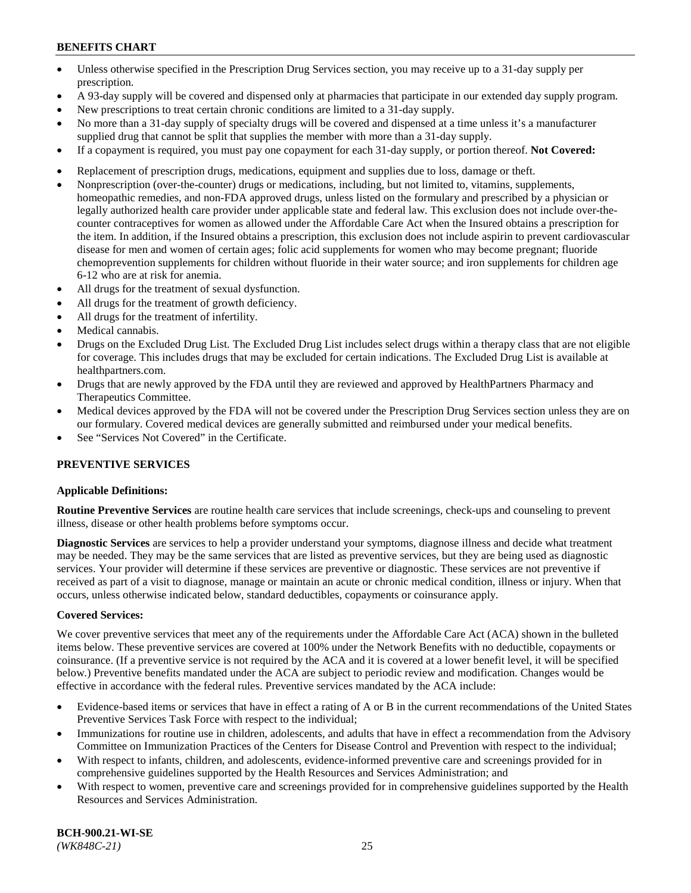- Unless otherwise specified in the Prescription Drug Services section, you may receive up to a 31-day supply per prescription.
- A 93-day supply will be covered and dispensed only at pharmacies that participate in our extended day supply program.
- New prescriptions to treat certain chronic conditions are limited to a 31-day supply.
- No more than a 31-day supply of specialty drugs will be covered and dispensed at a time unless it's a manufacturer supplied drug that cannot be split that supplies the member with more than a 31-day supply.
- If a copayment is required, you must pay one copayment for each 31-day supply, or portion thereof. **Not Covered:**
- Replacement of prescription drugs, medications, equipment and supplies due to loss, damage or theft.
- Nonprescription (over-the-counter) drugs or medications, including, but not limited to, vitamins, supplements, homeopathic remedies, and non-FDA approved drugs, unless listed on the formulary and prescribed by a physician or legally authorized health care provider under applicable state and federal law. This exclusion does not include over-thecounter contraceptives for women as allowed under the Affordable Care Act when the Insured obtains a prescription for the item. In addition, if the Insured obtains a prescription, this exclusion does not include aspirin to prevent cardiovascular disease for men and women of certain ages; folic acid supplements for women who may become pregnant; fluoride chemoprevention supplements for children without fluoride in their water source; and iron supplements for children age 6-12 who are at risk for anemia.
- All drugs for the treatment of sexual dysfunction.
- All drugs for the treatment of growth deficiency.
- All drugs for the treatment of infertility.
- Medical cannabis.
- Drugs on the Excluded Drug List. The Excluded Drug List includes select drugs within a therapy class that are not eligible for coverage. This includes drugs that may be excluded for certain indications. The Excluded Drug List is available at [healthpartners.com.](http://www.healthpartners.com/)
- Drugs that are newly approved by the FDA until they are reviewed and approved by HealthPartners Pharmacy and Therapeutics Committee.
- Medical devices approved by the FDA will not be covered under the Prescription Drug Services section unless they are on our formulary. Covered medical devices are generally submitted and reimbursed under your medical benefits.
- See "Services Not Covered" in the Certificate.

## **PREVENTIVE SERVICES**

#### **Applicable Definitions:**

**Routine Preventive Services** are routine health care services that include screenings, check-ups and counseling to prevent illness, disease or other health problems before symptoms occur.

**Diagnostic Services** are services to help a provider understand your symptoms, diagnose illness and decide what treatment may be needed. They may be the same services that are listed as preventive services, but they are being used as diagnostic services. Your provider will determine if these services are preventive or diagnostic. These services are not preventive if received as part of a visit to diagnose, manage or maintain an acute or chronic medical condition, illness or injury. When that occurs, unless otherwise indicated below, standard deductibles, copayments or coinsurance apply.

#### **Covered Services:**

We cover preventive services that meet any of the requirements under the Affordable Care Act (ACA) shown in the bulleted items below. These preventive services are covered at 100% under the Network Benefits with no deductible, copayments or coinsurance. (If a preventive service is not required by the ACA and it is covered at a lower benefit level, it will be specified below.) Preventive benefits mandated under the ACA are subject to periodic review and modification. Changes would be effective in accordance with the federal rules. Preventive services mandated by the ACA include:

- Evidence-based items or services that have in effect a rating of A or B in the current recommendations of the United States Preventive Services Task Force with respect to the individual;
- Immunizations for routine use in children, adolescents, and adults that have in effect a recommendation from the Advisory Committee on Immunization Practices of the Centers for Disease Control and Prevention with respect to the individual;
- With respect to infants, children, and adolescents, evidence-informed preventive care and screenings provided for in comprehensive guidelines supported by the Health Resources and Services Administration; and
- With respect to women, preventive care and screenings provided for in comprehensive guidelines supported by the Health Resources and Services Administration.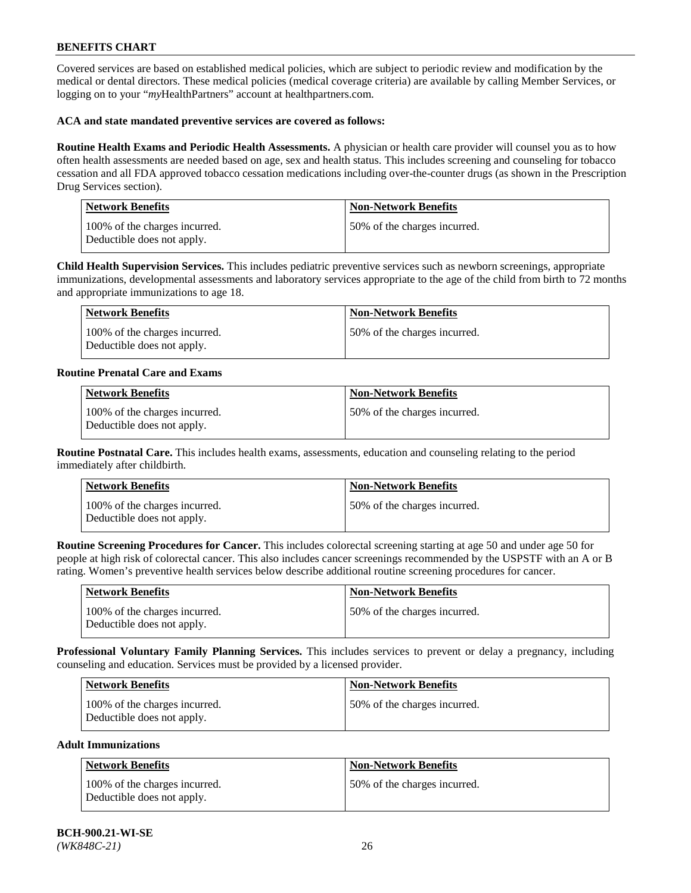Covered services are based on established medical policies, which are subject to periodic review and modification by the medical or dental directors. These medical policies (medical coverage criteria) are available by calling Member Services, or logging on to your "*my*HealthPartners" account at [healthpartners.com.](https://www.healthpartners.com/hp/index.html)

### **ACA and state mandated preventive services are covered as follows:**

**Routine Health Exams and Periodic Health Assessments.** A physician or health care provider will counsel you as to how often health assessments are needed based on age, sex and health status. This includes screening and counseling for tobacco cessation and all FDA approved tobacco cessation medications including over-the-counter drugs (as shown in the Prescription Drug Services section).

| <b>Network Benefits</b>                                     | <b>Non-Network Benefits</b>  |
|-------------------------------------------------------------|------------------------------|
| 100% of the charges incurred.<br>Deductible does not apply. | 50% of the charges incurred. |

**Child Health Supervision Services.** This includes pediatric preventive services such as newborn screenings, appropriate immunizations, developmental assessments and laboratory services appropriate to the age of the child from birth to 72 months and appropriate immunizations to age 18.

| Network Benefits                                            | <b>Non-Network Benefits</b>  |
|-------------------------------------------------------------|------------------------------|
| 100% of the charges incurred.<br>Deductible does not apply. | 50% of the charges incurred. |

### **Routine Prenatal Care and Exams**

| <b>Network Benefits</b>                                     | <b>Non-Network Benefits</b>  |
|-------------------------------------------------------------|------------------------------|
| 100% of the charges incurred.<br>Deductible does not apply. | 50% of the charges incurred. |

**Routine Postnatal Care.** This includes health exams, assessments, education and counseling relating to the period immediately after childbirth.

| Network Benefits                                            | <b>Non-Network Benefits</b>  |
|-------------------------------------------------------------|------------------------------|
| 100% of the charges incurred.<br>Deductible does not apply. | 50% of the charges incurred. |

**Routine Screening Procedures for Cancer.** This includes colorectal screening starting at age 50 and under age 50 for people at high risk of colorectal cancer. This also includes cancer screenings recommended by the USPSTF with an A or B rating. Women's preventive health services below describe additional routine screening procedures for cancer.

| <b>Network Benefits</b>                                     | Non-Network Benefits         |
|-------------------------------------------------------------|------------------------------|
| 100% of the charges incurred.<br>Deductible does not apply. | 50% of the charges incurred. |

**Professional Voluntary Family Planning Services.** This includes services to prevent or delay a pregnancy, including counseling and education. Services must be provided by a licensed provider.

| <b>Network Benefits</b>                                     | <b>Non-Network Benefits</b>   |
|-------------------------------------------------------------|-------------------------------|
| 100% of the charges incurred.<br>Deductible does not apply. | 150% of the charges incurred. |

## **Adult Immunizations**

| Network Benefits                                            | <b>Non-Network Benefits</b>  |
|-------------------------------------------------------------|------------------------------|
| 100% of the charges incurred.<br>Deductible does not apply. | 50% of the charges incurred. |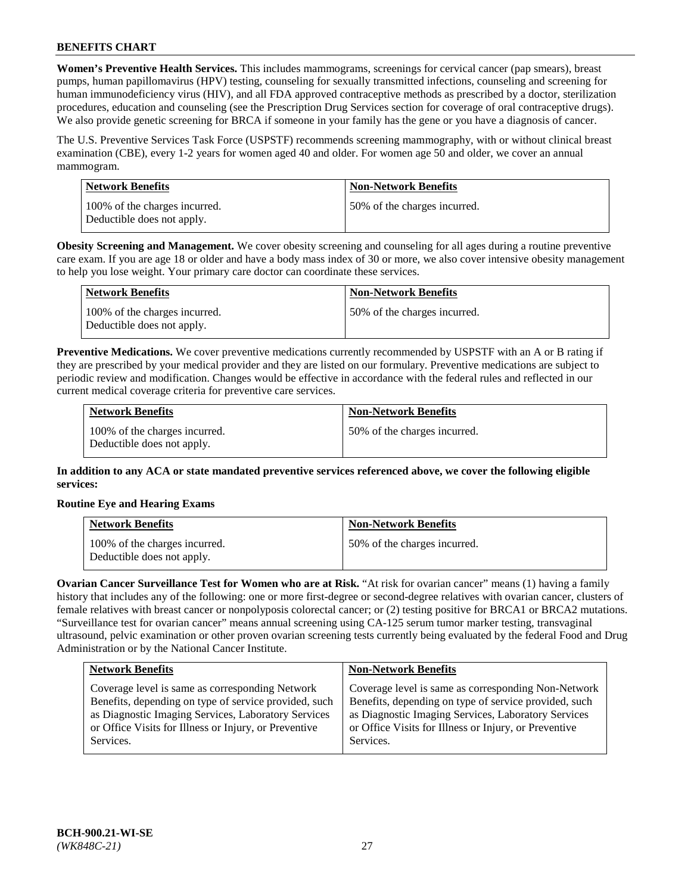**Women's Preventive Health Services.** This includes mammograms, screenings for cervical cancer (pap smears), breast pumps, human papillomavirus (HPV) testing, counseling for sexually transmitted infections, counseling and screening for human immunodeficiency virus (HIV), and all FDA approved contraceptive methods as prescribed by a doctor, sterilization procedures, education and counseling (see the Prescription Drug Services section for coverage of oral contraceptive drugs). We also provide genetic screening for BRCA if someone in your family has the gene or you have a diagnosis of cancer.

The U.S. Preventive Services Task Force (USPSTF) recommends screening mammography, with or without clinical breast examination (CBE), every 1-2 years for women aged 40 and older. For women age 50 and older, we cover an annual mammogram.

| Network Benefits                                            | <b>Non-Network Benefits</b>  |
|-------------------------------------------------------------|------------------------------|
| 100% of the charges incurred.<br>Deductible does not apply. | 50% of the charges incurred. |

**Obesity Screening and Management.** We cover obesity screening and counseling for all ages during a routine preventive care exam. If you are age 18 or older and have a body mass index of 30 or more, we also cover intensive obesity management to help you lose weight. Your primary care doctor can coordinate these services.

| Network Benefits                                            | <b>Non-Network Benefits</b>  |
|-------------------------------------------------------------|------------------------------|
| 100% of the charges incurred.<br>Deductible does not apply. | 50% of the charges incurred. |

**Preventive Medications.** We cover preventive medications currently recommended by USPSTF with an A or B rating if they are prescribed by your medical provider and they are listed on our formulary. Preventive medications are subject to periodic review and modification. Changes would be effective in accordance with the federal rules and reflected in our current medical coverage criteria for preventive care services.

| <b>Network Benefits</b>                                     | <b>Non-Network Benefits</b>  |
|-------------------------------------------------------------|------------------------------|
| 100% of the charges incurred.<br>Deductible does not apply. | 50% of the charges incurred. |

**In addition to any ACA or state mandated preventive services referenced above, we cover the following eligible services:**

## **Routine Eye and Hearing Exams**

| <b>Network Benefits</b>                                     | <b>Non-Network Benefits</b>  |
|-------------------------------------------------------------|------------------------------|
| 100% of the charges incurred.<br>Deductible does not apply. | 50% of the charges incurred. |

**Ovarian Cancer Surveillance Test for Women who are at Risk.** "At risk for ovarian cancer" means (1) having a family history that includes any of the following: one or more first-degree or second-degree relatives with ovarian cancer, clusters of female relatives with breast cancer or nonpolyposis colorectal cancer; or (2) testing positive for BRCA1 or BRCA2 mutations. "Surveillance test for ovarian cancer" means annual screening using CA-125 serum tumor marker testing, transvaginal ultrasound, pelvic examination or other proven ovarian screening tests currently being evaluated by the federal Food and Drug Administration or by the National Cancer Institute.

| <b>Network Benefits</b>                               | <b>Non-Network Benefits</b>                           |
|-------------------------------------------------------|-------------------------------------------------------|
| Coverage level is same as corresponding Network       | Coverage level is same as corresponding Non-Network   |
| Benefits, depending on type of service provided, such | Benefits, depending on type of service provided, such |
| as Diagnostic Imaging Services, Laboratory Services   | as Diagnostic Imaging Services, Laboratory Services   |
| or Office Visits for Illness or Injury, or Preventive | or Office Visits for Illness or Injury, or Preventive |
| Services.                                             | Services.                                             |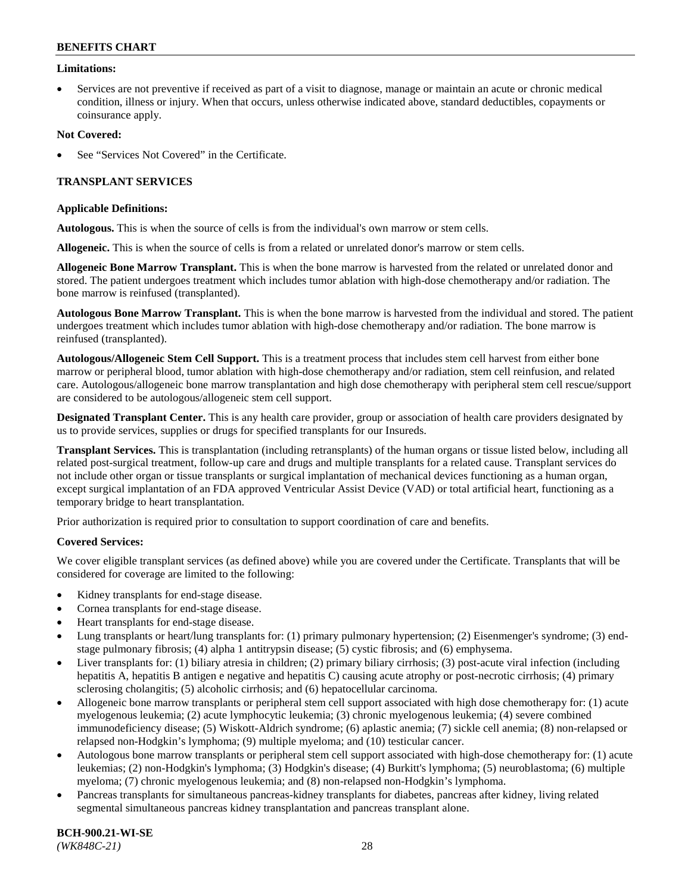### **Limitations:**

• Services are not preventive if received as part of a visit to diagnose, manage or maintain an acute or chronic medical condition, illness or injury. When that occurs, unless otherwise indicated above, standard deductibles, copayments or coinsurance apply.

### **Not Covered:**

See "Services Not Covered" in the Certificate.

## **TRANSPLANT SERVICES**

#### **Applicable Definitions:**

**Autologous.** This is when the source of cells is from the individual's own marrow or stem cells.

**Allogeneic.** This is when the source of cells is from a related or unrelated donor's marrow or stem cells.

**Allogeneic Bone Marrow Transplant.** This is when the bone marrow is harvested from the related or unrelated donor and stored. The patient undergoes treatment which includes tumor ablation with high-dose chemotherapy and/or radiation. The bone marrow is reinfused (transplanted).

**Autologous Bone Marrow Transplant.** This is when the bone marrow is harvested from the individual and stored. The patient undergoes treatment which includes tumor ablation with high-dose chemotherapy and/or radiation. The bone marrow is reinfused (transplanted).

**Autologous/Allogeneic Stem Cell Support.** This is a treatment process that includes stem cell harvest from either bone marrow or peripheral blood, tumor ablation with high-dose chemotherapy and/or radiation, stem cell reinfusion, and related care. Autologous/allogeneic bone marrow transplantation and high dose chemotherapy with peripheral stem cell rescue/support are considered to be autologous/allogeneic stem cell support.

**Designated Transplant Center.** This is any health care provider, group or association of health care providers designated by us to provide services, supplies or drugs for specified transplants for our Insureds.

**Transplant Services.** This is transplantation (including retransplants) of the human organs or tissue listed below, including all related post-surgical treatment, follow-up care and drugs and multiple transplants for a related cause. Transplant services do not include other organ or tissue transplants or surgical implantation of mechanical devices functioning as a human organ, except surgical implantation of an FDA approved Ventricular Assist Device (VAD) or total artificial heart, functioning as a temporary bridge to heart transplantation.

Prior authorization is required prior to consultation to support coordination of care and benefits.

#### **Covered Services:**

We cover eligible transplant services (as defined above) while you are covered under the Certificate. Transplants that will be considered for coverage are limited to the following:

- Kidney transplants for end-stage disease.
- Cornea transplants for end-stage disease.
- Heart transplants for end-stage disease.
- Lung transplants or heart/lung transplants for: (1) primary pulmonary hypertension; (2) Eisenmenger's syndrome; (3) endstage pulmonary fibrosis; (4) alpha 1 antitrypsin disease; (5) cystic fibrosis; and (6) emphysema.
- Liver transplants for: (1) biliary atresia in children; (2) primary biliary cirrhosis; (3) post-acute viral infection (including hepatitis A, hepatitis B antigen e negative and hepatitis C) causing acute atrophy or post-necrotic cirrhosis; (4) primary sclerosing cholangitis; (5) alcoholic cirrhosis; and (6) hepatocellular carcinoma.
- Allogeneic bone marrow transplants or peripheral stem cell support associated with high dose chemotherapy for: (1) acute myelogenous leukemia; (2) acute lymphocytic leukemia; (3) chronic myelogenous leukemia; (4) severe combined immunodeficiency disease; (5) Wiskott-Aldrich syndrome; (6) aplastic anemia; (7) sickle cell anemia; (8) non-relapsed or relapsed non-Hodgkin's lymphoma; (9) multiple myeloma; and (10) testicular cancer.
- Autologous bone marrow transplants or peripheral stem cell support associated with high-dose chemotherapy for: (1) acute leukemias; (2) non-Hodgkin's lymphoma; (3) Hodgkin's disease; (4) Burkitt's lymphoma; (5) neuroblastoma; (6) multiple myeloma; (7) chronic myelogenous leukemia; and (8) non-relapsed non-Hodgkin's lymphoma.
- Pancreas transplants for simultaneous pancreas-kidney transplants for diabetes, pancreas after kidney, living related segmental simultaneous pancreas kidney transplantation and pancreas transplant alone.